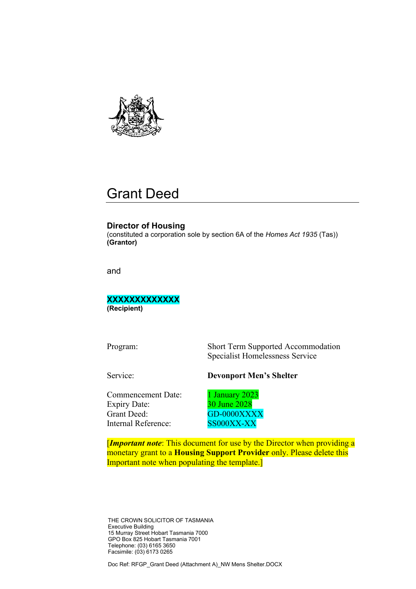

# Grant Deed

#### **Director of Housing**

(constituted a corporation sole by section 6A of the *Homes Act 1935* (Tas)) **(Grantor)**

and

**XXXXXXXXXXXXX (Recipient)**

Program: Short Term Supported Accommodation Specialist Homelessness Service

#### Service: **Devonport Men's Shelter**

Commencement Date: 1 January 2023 Expiry Date: 30 June 2028 Grant Deed: GD-0000XXXX Internal Reference: SS000XX-XX

[*Important note*: This document for use by the Director when providing a monetary grant to a **Housing Support Provider** only. Please delete this Important note when populating the template.]

THE CROWN SOLICITOR OF TASMANIA Executive Building 15 Murray Street Hobart Tasmania 7000 GPO Box 825 Hobart Tasmania 7001 Telephone: (03) 6165 3650 Facsimile: (03) 6173 0265

Doc Ref: RFGP\_Grant Deed (Attachment A)\_NW Mens Shelter.DOCX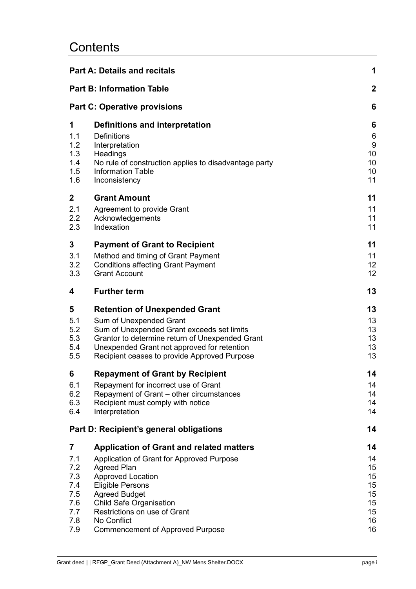# **Contents**

|             | <b>Part A: Details and recitals</b>                   | 1              |  |  |
|-------------|-------------------------------------------------------|----------------|--|--|
|             | <b>Part B: Information Table</b>                      | $\overline{2}$ |  |  |
|             | <b>Part C: Operative provisions</b>                   |                |  |  |
| 1           | Definitions and interpretation                        | 6              |  |  |
| 1.1         | <b>Definitions</b>                                    | 6              |  |  |
| 1.2         | Interpretation                                        | 9              |  |  |
| 1.3         | Headings                                              | 10             |  |  |
| 1.4         | No rule of construction applies to disadvantage party | 10             |  |  |
| 1.5         | <b>Information Table</b>                              | 10             |  |  |
| 1.6         | Inconsistency                                         | 11             |  |  |
| $\mathbf 2$ | <b>Grant Amount</b>                                   | 11             |  |  |
| 2.1         | Agreement to provide Grant                            | 11             |  |  |
| 2.2         | Acknowledgements                                      | 11             |  |  |
| 2.3         | Indexation                                            | 11             |  |  |
| 3           | <b>Payment of Grant to Recipient</b>                  | 11             |  |  |
| 3.1         | Method and timing of Grant Payment                    | 11             |  |  |
| 3.2         | <b>Conditions affecting Grant Payment</b>             | 12             |  |  |
| 3.3         | <b>Grant Account</b>                                  | 12             |  |  |
| 4           | <b>Further term</b>                                   | 13             |  |  |
| 5           | <b>Retention of Unexpended Grant</b>                  | 13             |  |  |
| 5.1         | Sum of Unexpended Grant                               | 13             |  |  |
| 5.2         | Sum of Unexpended Grant exceeds set limits            | 13             |  |  |
| 5.3         | Grantor to determine return of Unexpended Grant       | 13             |  |  |
| 5.4         | Unexpended Grant not approved for retention           | 13             |  |  |
| 5.5         | Recipient ceases to provide Approved Purpose          | 13             |  |  |
| 6           | <b>Repayment of Grant by Recipient</b>                | 14             |  |  |
| 6.1         | Repayment for incorrect use of Grant                  | 14             |  |  |
| 6.2         | Repayment of Grant - other circumstances              | 14             |  |  |
| 6.3         | Recipient must comply with notice                     | 14             |  |  |
| 6.4         | Interpretation                                        | 14             |  |  |
|             | Part D: Recipient's general obligations               | 14             |  |  |
| 7           | <b>Application of Grant and related matters</b>       | 14             |  |  |
| 7.1         | Application of Grant for Approved Purpose             | 14             |  |  |
| 7.2         | <b>Agreed Plan</b>                                    | 15             |  |  |
| 7.3         | <b>Approved Location</b>                              | 15             |  |  |
| 7.4         | <b>Eligible Persons</b>                               | 15             |  |  |
| 7.5         | <b>Agreed Budget</b>                                  | 15             |  |  |
| 7.6         | <b>Child Safe Organisation</b>                        | 15             |  |  |
| 7.7         | Restrictions on use of Grant                          | 15             |  |  |
| 7.8         | No Conflict                                           | 16             |  |  |
| 7.9         | <b>Commencement of Approved Purpose</b>               | 16             |  |  |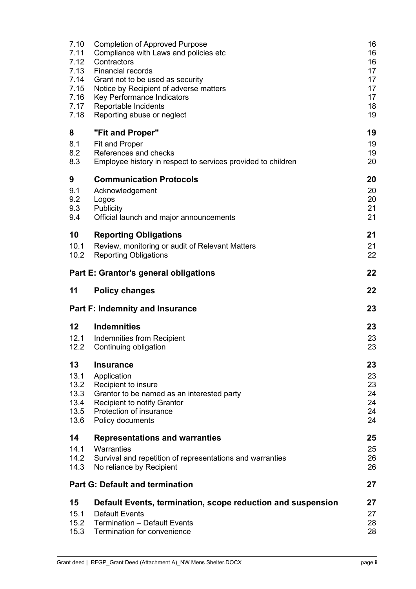| 19<br>19                                                    |
|-------------------------------------------------------------|
| 19<br>20                                                    |
| 20<br>20<br>20<br>21<br>21                                  |
| 21<br>21<br>22                                              |
| 22                                                          |
| 22                                                          |
| 23                                                          |
| 23<br>23<br>23                                              |
| 23<br>23<br>23<br>24<br>24<br>24<br>24                      |
| 25<br>25<br>26<br>26                                        |
| 27                                                          |
| 27<br>27<br>28<br>28                                        |
| Default Events, termination, scope reduction and suspension |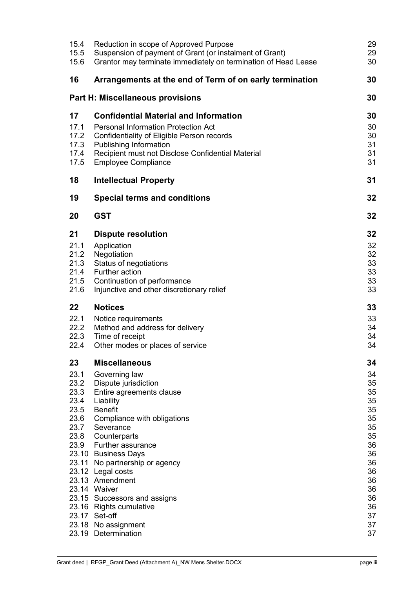| Reduction in scope of Approved Purpose<br>Suspension of payment of Grant (or instalment of Grant)<br>Grantor may terminate immediately on termination of Head Lease                                                                                                                                                                                                                                                   | 29<br>29<br>30                                                                                                 |
|-----------------------------------------------------------------------------------------------------------------------------------------------------------------------------------------------------------------------------------------------------------------------------------------------------------------------------------------------------------------------------------------------------------------------|----------------------------------------------------------------------------------------------------------------|
| Arrangements at the end of Term of on early termination                                                                                                                                                                                                                                                                                                                                                               | 30                                                                                                             |
| <b>Part H: Miscellaneous provisions</b>                                                                                                                                                                                                                                                                                                                                                                               | 30                                                                                                             |
| <b>Confidential Material and Information</b><br><b>Personal Information Protection Act</b><br>Confidentiality of Eligible Person records<br>Publishing Information<br>Recipient must not Disclose Confidential Material<br><b>Employee Compliance</b>                                                                                                                                                                 | 30<br>30<br>30<br>31<br>31<br>31                                                                               |
| <b>Intellectual Property</b>                                                                                                                                                                                                                                                                                                                                                                                          | 31                                                                                                             |
| <b>Special terms and conditions</b>                                                                                                                                                                                                                                                                                                                                                                                   | 32                                                                                                             |
| <b>GST</b>                                                                                                                                                                                                                                                                                                                                                                                                            | 32                                                                                                             |
| <b>Dispute resolution</b><br>Application<br>Negotiation<br>Status of negotiations<br>Further action<br>Continuation of performance<br>Injunctive and other discretionary relief                                                                                                                                                                                                                                       | 32<br>32<br>32<br>33<br>33<br>33<br>33                                                                         |
| <b>Notices</b>                                                                                                                                                                                                                                                                                                                                                                                                        | 33                                                                                                             |
| Notice requirements<br>Method and address for delivery<br>Time of receipt<br>Other modes or places of service                                                                                                                                                                                                                                                                                                         | 33<br>34<br>34<br>34                                                                                           |
| <b>Miscellaneous</b>                                                                                                                                                                                                                                                                                                                                                                                                  | 34                                                                                                             |
| Dispute jurisdiction<br>Entire agreements clause<br>Liability<br><b>Benefit</b><br>Compliance with obligations<br>23.7 Severance<br>Counterparts<br>23.9 Further assurance<br>23.10 Business Days<br>23.11 No partnership or agency<br>23.12 Legal costs<br>23.13 Amendment<br>23.14 Waiver<br>23.15 Successors and assigns<br>23.16 Rights cumulative<br>23.17 Set-off<br>23.18 No assignment<br>23.19 Determination | 34<br>35<br>35<br>35<br>35<br>35<br>35<br>35<br>36<br>36<br>36<br>36<br>36<br>36<br>36<br>36<br>37<br>37<br>37 |
|                                                                                                                                                                                                                                                                                                                                                                                                                       | Governing law                                                                                                  |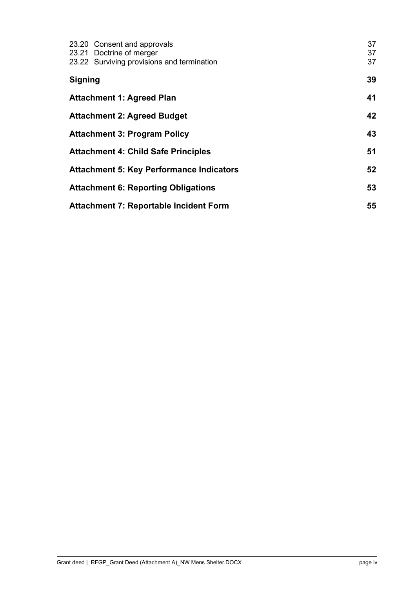|                | 23.20 Consent and approvals                     | 37 |
|----------------|-------------------------------------------------|----|
|                | 23.21 Doctrine of merger                        | 37 |
|                | 23.22 Surviving provisions and termination      | 37 |
| <b>Signing</b> |                                                 | 39 |
|                | <b>Attachment 1: Agreed Plan</b>                | 41 |
|                | <b>Attachment 2: Agreed Budget</b>              | 42 |
|                | <b>Attachment 3: Program Policy</b>             | 43 |
|                | <b>Attachment 4: Child Safe Principles</b>      | 51 |
|                | <b>Attachment 5: Key Performance Indicators</b> | 52 |
|                | <b>Attachment 6: Reporting Obligations</b>      | 53 |
|                | <b>Attachment 7: Reportable Incident Form</b>   | 55 |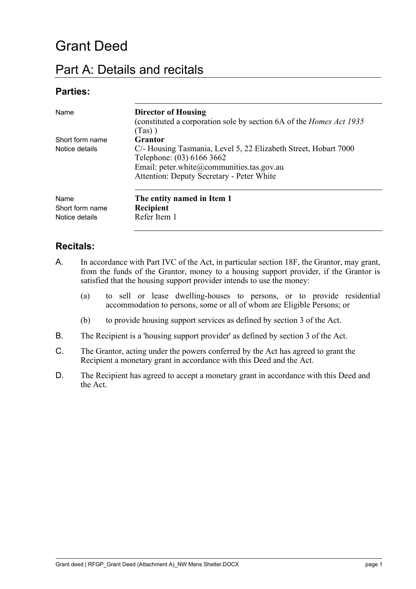# Grant Deed

## <span id="page-5-0"></span>Part A: Details and recitals

## **Parties:**

| Name                                      | <b>Director of Housing</b><br>(constituted a corporation sole by section 6A of the <i>Homes Act 1935</i><br>$(Tas)$ )                                                                  |
|-------------------------------------------|----------------------------------------------------------------------------------------------------------------------------------------------------------------------------------------|
| Short form name                           | Grantor                                                                                                                                                                                |
| Notice details                            | C/- Housing Tasmania, Level 5, 22 Elizabeth Street, Hobart 7000<br>Telephone: (03) 6166 3662<br>Email: peter.white@communities.tas.gov.au<br>Attention: Deputy Secretary - Peter White |
| Name<br>Short form name<br>Notice details | The entity named in Item 1<br>Recipient<br>Refer Item 1                                                                                                                                |

### **Recitals:**

- A. In accordance with Part IVC of the Act, in particular section 18F, the Grantor, may grant, from the funds of the Grantor, money to a housing support provider, if the Grantor is satisfied that the housing support provider intends to use the money:
	- (a) to sell or lease dwelling-houses to persons, or to provide residential accommodation to persons, some or all of whom are Eligible Persons; or
	- (b) to provide housing support services as defined by section 3 of the Act.
- B. The Recipient is a 'housing support provider' as defined by section 3 of the Act.
- C. The Grantor, acting under the powers conferred by the Act has agreed to grant the Recipient a monetary grant in accordance with this Deed and the Act.
- D. The Recipient has agreed to accept a monetary grant in accordance with this Deed and the Act.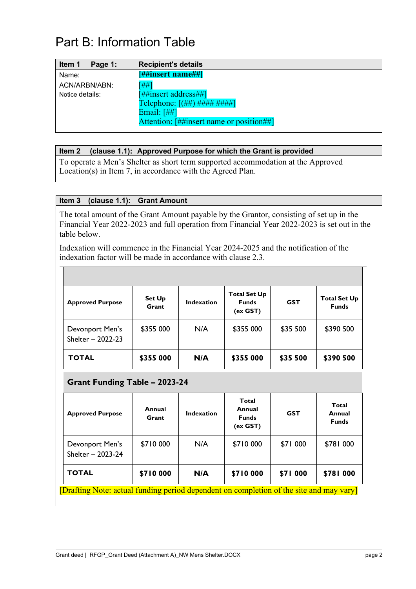# <span id="page-6-0"></span>Part B: Information Table

| Item 1<br>Page 1: | <b>Recipient's details</b>                 |
|-------------------|--------------------------------------------|
| Name:             | [##insert name##]                          |
| ACN/ARBN/ABN:     | $\lceil # \nceil$                          |
| Notice details:   | $[$ ##insert address##]                    |
|                   | Telephone: $[(\# \#)\# \# \# \# \# \# \#]$ |
|                   | Email: $[#]$                               |
|                   | Attention: [##insert name or position##]   |
|                   |                                            |

#### <span id="page-6-1"></span>**Item 2 (clause [1.1\)](#page-10-3): Approved Purpose for which the Grant is provided**

To operate a Men's Shelter as short term supported accommodation at the Approved Location(s) in Item 7, in accordance with the Agreed Plan.

#### <span id="page-6-2"></span>**Item 3 (clause [1.1\)](#page-10-3): Grant Amount**

⊤

The total amount of the Grant Amount payable by the Grantor, consisting of set up in the Financial Year 2022-2023 and full operation from Financial Year 2022-2023 is set out in the table below.

Indexation will commence in the Financial Year 2024-2025 and the notification of the indexation factor will be made in accordance with clause [2.3.](#page-15-7)

| <b>Approved Purpose</b>              | <b>Set Up</b><br>Grant | <b>Indexation</b> | <b>Total Set Up</b><br><b>Funds</b><br>(ex GST) | <b>GST</b> | <b>Total Set Up</b><br><b>Funds</b> |
|--------------------------------------|------------------------|-------------------|-------------------------------------------------|------------|-------------------------------------|
| Devonport Men's<br>Shelter - 2022-23 | \$355 000              | N/A               | \$355 000                                       | \$35 500   | \$390 500                           |
| <b>TOTAL</b>                         | \$355 000              | N/A               | \$355 000                                       | \$35 500   | \$390 500                           |

### **Grant Funding Table – 2023-24**

| <b>Approved Purpose</b>                                                                 | Annual<br>Grant | Indexation | Total<br>Annual<br><b>Funds</b><br>(ex GST) | <b>GST</b>      |           |  |
|-----------------------------------------------------------------------------------------|-----------------|------------|---------------------------------------------|-----------------|-----------|--|
| Devonport Men's<br>Shelter - 2023-24                                                    | \$710 000       | N/A        | \$710 000                                   | \$71 000        | \$781 000 |  |
| <b>TOTAL</b>                                                                            | \$710 000       | N/A        | \$710 000                                   | <b>\$71 000</b> | \$781 000 |  |
| [Drafting Note: actual funding period dependent on completion of the site and may vary] |                 |            |                                             |                 |           |  |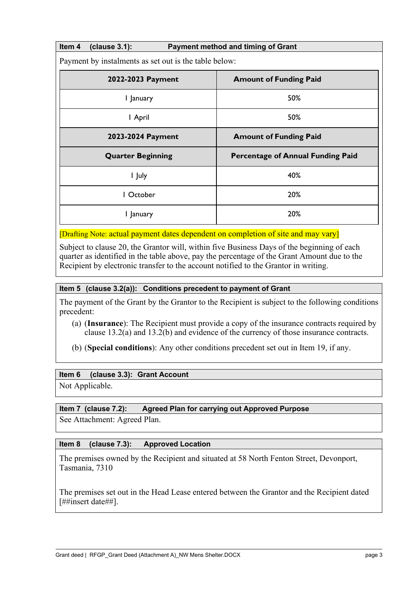<span id="page-7-2"></span>**Item 4 (clause [3.1\)](#page-15-8): Payment method and timing of Grant**

Payment by instalments as set out is the table below:

| 2022-2023 Payment        | <b>Amount of Funding Paid</b>            |  |  |
|--------------------------|------------------------------------------|--|--|
| I January                | 50%                                      |  |  |
| I April                  | 50%                                      |  |  |
| 2023-2024 Payment        | <b>Amount of Funding Paid</b>            |  |  |
| <b>Quarter Beginning</b> | <b>Percentage of Annual Funding Paid</b> |  |  |
| I July                   | 40%                                      |  |  |
| October                  | 20%                                      |  |  |
| I January                | 20%                                      |  |  |

[Drafting Note: actual payment dates dependent on completion of site and may vary]

Subject to clause [20,](#page-36-5) the Grantor will, within five Business Days of the beginning of each quarter as identified in the table above, pay the percentage of the Grant Amount due to the Recipient by electronic transfer to the account notified to the Grantor in writing.

#### <span id="page-7-3"></span>**Item 5 (clause [3.2\(a\)\)](#page-16-2): Conditions precedent to payment of Grant**

The payment of the Grant by the Grantor to the Recipient is subject to the following conditions precedent:

(a) (**Insurance**): The Recipient must provide a copy of the insurance contracts required by clause [13.2\(a\)](#page-27-7) and [13.2\(b\)](#page-28-4) and evidence of the currency of those insurance contracts.

(b) (**Special conditions**): Any other conditions precedent set out in [Item 19,](#page-8-0) if any.

#### <span id="page-7-4"></span>**Item 6 (clause [3.3\)](#page-16-3): Grant Account**

Not Applicable.

#### <span id="page-7-0"></span>**Item 7 (clause [7.2\)](#page-19-6): Agreed Plan for carrying out Approved Purpose**

See Attachment: Agreed Plan.

#### <span id="page-7-1"></span>**Item 8 (clause [7.3\)](#page-19-7): Approved Location**

The premises owned by the Recipient and situated at 58 North Fenton Street, Devonport, Tasmania, 7310

The premises set out in the Head Lease entered between the Grantor and the Recipient dated [##insert date##].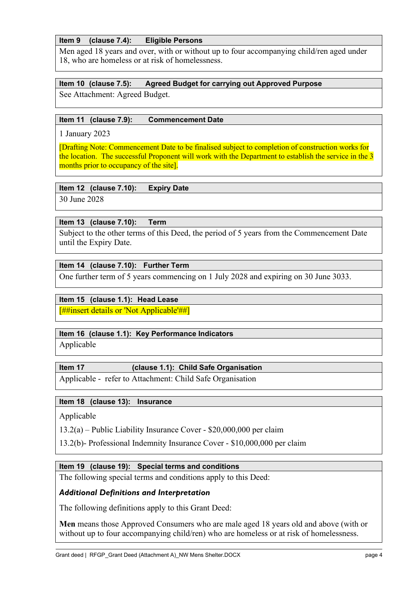#### <span id="page-8-3"></span>**Item 9 (clause [7.4\)](#page-19-8): Eligible Persons**

Men aged 18 years and over, with or without up to four accompanying child/ren aged under 18, who are homeless or at risk of homelessness.

#### <span id="page-8-1"></span>**Item 10 (clause [7.5\)](#page-19-9): Agreed Budget for carrying out Approved Purpose**

See Attachment: Agreed Budget.

#### <span id="page-8-2"></span>**Item 11 (clause [7.9\)](#page-20-5): Commencement Date**

1 January 2023

[Drafting Note: Commencement Date to be finalised subject to completion of construction works for the location. The successful Proponent will work with the Department to establish the service in the 3 months prior to occupancy of the site.

#### <span id="page-8-4"></span>**Item 12 (clause [7.10\)](#page-20-6): Expiry Date**

30 June 2028

#### <span id="page-8-6"></span>**Item 13 (clause [7.10\)](#page-20-6): Term**

Subject to the other terms of this Deed, the period of 5 years from the Commencement Date until the Expiry Date.

#### <span id="page-8-7"></span>**Item 14 (clause [7.10\)](#page-20-6): Further Term**

One further term of 5 years commencing on 1 July 2028 and expiring on 30 June 3033.

#### <span id="page-8-5"></span>**Item 15 (clause [1.1\)](#page-10-3): Head Lease**

[##insert details or 'Not Applicable'##]

#### <span id="page-8-9"></span>**Item 16 (clause [1.1\)](#page-10-3): Key Performance Indicators**

Applicable

#### <span id="page-8-8"></span>**Item 17 (clause [1.1\)](#page-10-3): Child Safe Organisation**

Applicable - refer to Attachment: Child Safe Organisation

#### <span id="page-8-10"></span>**Item 18 (clause [13\)](#page-27-8): Insurance**

Applicable

[13.2\(a\)](#page-27-7) – Public Liability Insurance Cover - \$20,000,000 per claim

[13.2\(b\)-](#page-28-4) Professional Indemnity Insurance Cover - \$10,000,000 per claim

#### <span id="page-8-0"></span>**Item 19 (clause 19): Special terms and conditions**

The following special terms and conditions apply to this Deed:

#### *Additional Definitions and Interpretation*

The following definitions apply to this Grant Deed:

**Men** means those Approved Consumers who are male aged 18 years old and above (with or without up to four accompanying child/ren) who are homeless or at risk of homelessness.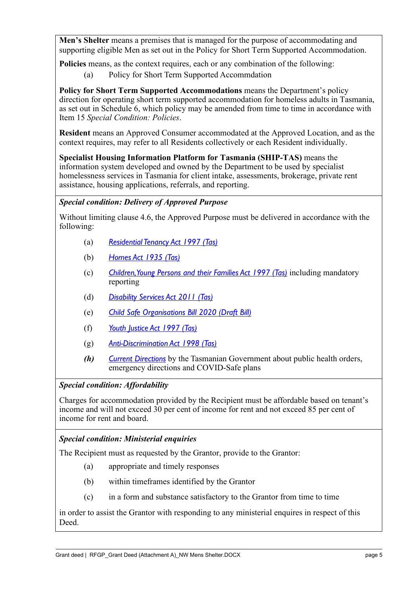**Men's Shelter** means a premises that is managed for the purpose of accommodating and supporting eligible Men as set out in the Policy for Short Term Supported Accommodation.

**Policies** means, as the context requires, each or any combination of the following:

(a) Policy for Short Term Supported Accommdation

**Policy for Short Term Supported Accommodations** means the Department's policy direction for operating short term supported accommodation for homeless adults in Tasmania, as set out in Schedule 6, which policy may be amended from time to time in accordance with Item 15 *Special Condition: Policies*.

**Resident** means an Approved Consumer accommodated at the Approved Location, and as the context requires, may refer to all Residents collectively or each Resident individually.

**Specialist Housing Information Platform for Tasmania (SHIP-TAS)** means the information system developed and owned by the Department to be used by specialist homelessness services in Tasmania for client intake, assessments, brokerage, private rent assistance, housing applications, referrals, and reporting.

#### *Special condition: Delivery of Approved Purpose*

Without limiting clause [4.6,](#page-20-7) the Approved Purpose must be delivered in accordance with the following:

- (a) *[Residential Tenancy Act 1997 \(Tas\)](https://www.legislation.tas.gov.au/view/html/inforce/current/act-1997-082?query=((PrintType%3D%22act.reprint%22+AND+Amending%3C%3E%22pure%22+AND+PitValid%3D%40pointInTime(20210715000000))+OR+(PrintType%3D%22act.reprint%22+AND+Amending%3D%22pure%22+AND+PitValid%3D%40pointInTime(20210715000000))+OR+(PrintType%3D%22reprint%22+AND+Amending%3C%3E%22pure%22+AND+PitValid%3D%40pointInTime(20210715000000))+OR+(PrintType%3D%22reprint%22+AND+Amending%3D%22pure%22+AND+PitValid%3D%40pointInTime(20210715000000)))+AND+Title%3D(%22Residential%22+AND+%22Tenancy%22+AND+%22Act%22+AND+%221997%22)&dQuery=Document+Types%3D%22%3Cspan+class%3D%27dq-highlight%27%3EActs%3C%2Fspan%3E%2C+%3Cspan+class%3D%27dq-highlight%27%3EAmending+Acts%3C%2Fspan%3E%2C+%3Cspan+class%3D%27dq-highlight%27%3ESRs%3C%2Fspan%3E%2C+%3Cspan+class%3D%27dq-highlight%27%3EAmending+SRs%3C%2Fspan%3E%22%2C+Search+In%3D%22%3Cspan+class%3D%27dq-highlight%27%3ETitle%3C%2Fspan%3E%22%2C+All+Words%3D%22%3Cspan+class%3D%27dq-highlight%27%3EResidential+Tenancy+Act+1997%3C%2Fspan%3E%22%2C+Point+In+Time%3D%22%3Cspan+class%3D%27dq-highlight%27%3E15%2F07%2F2021%3C%2Fspan%3E%22)*
- (b) *[Homes Act 1935 \(Tas\)](https://www.legislation.tas.gov.au/view/html/inforce/current/act-1935-098?query=((PrintType%3D%22act.reprint%22+AND+Amending%3C%3E%22pure%22+AND+PitValid%3D%40pointInTime(20210715000000))+OR+(PrintType%3D%22act.reprint%22+AND+Amending%3D%22pure%22+AND+PitValid%3D%40pointInTime(20210715000000))+OR+(PrintType%3D%22reprint%22+AND+Amending%3C%3E%22pure%22+AND+PitValid%3D%40pointInTime(20210715000000))+OR+(PrintType%3D%22reprint%22+AND+Amending%3D%22pure%22+AND+PitValid%3D%40pointInTime(20210715000000)))+AND+Title%3D(%22oHomes%22+AND+%22Act%22+AND+%221935%22)&dQuery=Document+Types%3D%22%3Cspan+class%3D%27dq-highlight%27%3EActs%3C%2Fspan%3E%2C+%3Cspan+class%3D%27dq-highlight%27%3EAmending+Acts%3C%2Fspan%3E%2C+%3Cspan+class%3D%27dq-highlight%27%3ERepealed+Acts%3C%2Fspan%3E%2C+%3Cspan+class%3D%27dq-highlight%27%3ERepealed+Amending+Acts%3C%2Fspan%3E%2C+%3Cspan+class%3D%27dq-highlight%27%3ESRs%3C%2Fspan%3E%2C+%3Cspan+class%3D%27dq-highlight%27%3EAmending+SRs%3C%2Fspan%3E%22%2C+Search+In%3D%22%3Cspan+class%3D%27dq-highlight%27%3ETitle%3C%2Fspan%3E%22%2C+All+Words%3D%22%3Cspan+class%3D%27dq-highlight%27%3EHomes+Act+1935%3C%2Fspan%3E%22%2C+Point+In+Time%3D%22%3Cspan+class%3D%27dq-highlight%27%3E15%2F07%2F2021%3C%2Fspan%3E%22)*
- (c) *[Children, Young Persons and their Families Act 1997 \(Tas\)](https://www.legislation.tas.gov.au/view/html/inforce/current/act-1997-028)* including mandatory reporting
- (d) *[Disability Services Act 2011 \(Tas\)](https://www.legislation.tas.gov.au/view/html/inforce/current/act-2011-027?query=((PrintType%3D%22act.reprint%22+AND+Amending%3C%3E%22pure%22+AND+PitValid%3D%40pointInTime(20210715000000))+OR+(PrintType%3D%22act.reprint%22+AND+Amending%3D%22pure%22+AND+PitValid%3D%40pointInTime(20210715000000))+OR+(PrintType%3D%22reprint%22+AND+Amending%3C%3E%22pure%22+AND+PitValid%3D%40pointInTime(20210715000000))+OR+(PrintType%3D%22reprint%22+AND+Amending%3D%22pure%22+AND+PitValid%3D%40pointInTime(20210715000000)))+AND+Title%3D(%22oThe%22+AND+%22Tasmanian%22+AND+%22Disability%22+AND+%22Services%22+AND+%22Act%22+AND+%222011%22)&dQuery=Document+Types%3D%22%3Cspan+class%3D%27dq-highlight%27%3EActs%3C%2Fspan%3E%2C+%3Cspan+class%3D%27dq-highlight%27%3EAmending+Acts%3C%2Fspan%3E%2C+%3Cspan+class%3D%27dq-highlight%27%3ERepealed+Acts%3C%2Fspan%3E%2C+%3Cspan+class%3D%27dq-highlight%27%3ERepealed+Amending+Acts%3C%2Fspan%3E%2C+%3Cspan+class%3D%27dq-highlight%27%3ESRs%3C%2Fspan%3E%2C+%3Cspan+class%3D%27dq-highlight%27%3EAmending+SRs%3C%2Fspan%3E%2C+%3Cspan+class%3D%27dq-highlight%27%3ERepealed+SRs%3C%2Fspan%3E%2C+%3Cspan+class%3D%27dq-highlight%27%3ERepealed+Amending+SRs%3C%2Fspan%3E%22%2C+Search+In%3D%22%3Cspan+class%3D%27dq-highlight%27%3ETitle%3C%2Fspan%3E%22%2C+All+Words%3D%22%3Cspan+class%3D%27dq-highlight%27%3EDisability+Services+Act%3C%2Fspan%3E%22%2C+Point+In+Time%3D%22%3Cspan+class%3D%27dq-highlight%27%3E15%2F07%2F2021%3C%2Fspan%3E%22)*
- (e) *[Child Safe Organisations Bill 2020 \(Draft Bill\)](https://www.justice.tas.gov.au/__data/assets/pdf_file/0009/597069/Child-Safe-Organisations-Bill-2020-Consultation-Version.PDF)*
- (f) *[Youth Justice Act 1997 \(Tas\)](https://www.legislation.tas.gov.au/view/html/inforce/current/act-1997-081)*
- (g) *[Anti-Discrimination Act](https://www.legislation.tas.gov.au/view/html/inforce/current/act-1998-046?query=((PrintType%3D%22act.reprint%22+AND+Amending%3C%3E%22pure%22+AND+PitValid%3D%40pointInTime(20210515000000))+OR+(PrintType%3D%22act.reprint%22+AND+Amending%3D%22pure%22+AND+PitValid%3D%40pointInTime(20210515000000))+OR+(PrintType%3D%22reprint%22+AND+Amending%3C%3E%22pure%22+AND+PitValid%3D%40pointInTime(20210515000000))+OR+(PrintType%3D%22reprint%22+AND+Amending%3D%22pure%22+AND+PitValid%3D%40pointInTime(20210515000000)))+AND+Title%3D(%22Anti-Discrimination%22+AND+%22Act%22+AND+%221998%22)&dQuery=Document+Types%3D%22%3Cspan+class%3D%27dq-highlight%27%3EActs%3C%2Fspan%3E%2C+%3Cspan+class%3D%27dq-highlight%27%3EAmending+Acts%3C%2Fspan%3E%2C+%3Cspan+class%3D%27dq-highlight%27%3ESRs%3C%2Fspan%3E%2C+%3Cspan+class%3D%27dq-highlight%27%3EAmending+SRs%3C%2Fspan%3E%22%2C+Search+In%3D%22%3Cspan+class%3D%27dq-highlight%27%3ETitle%3C%2Fspan%3E%22%2C+All+Words%3D%22%3Cspan+class%3D%27dq-highlight%27%3EAnti-Discrimination+Act+1998%3C%2Fspan%3E%22%2C+Point+In+Time%3D%22%3Cspan+class%3D%27dq-highlight%27%3E15%2F05%2F2021%3C%2Fspan%3E%22) 1998 (Tas)*
- *(h) [Current Directions](https://www.coronavirus.tas.gov.au/resources#Current-Directions)* by the Tasmanian Government about public health orders, emergency directions and COVID-Safe plans

### *Special condition: Affordability*

Charges for accommodation provided by the Recipient must be affordable based on tenant's income and will not exceed 30 per cent of income for rent and not exceed 85 per cent of income for rent and board.

### *Special condition: Ministerial enquiries*

The Recipient must as requested by the Grantor, provide to the Grantor:

- (a) appropriate and timely responses
- (b) within timeframes identified by the Grantor
- (c) in a form and substance satisfactory to the Grantor from time to time

in order to assist the Grantor with responding to any ministerial enquires in respect of this Deed.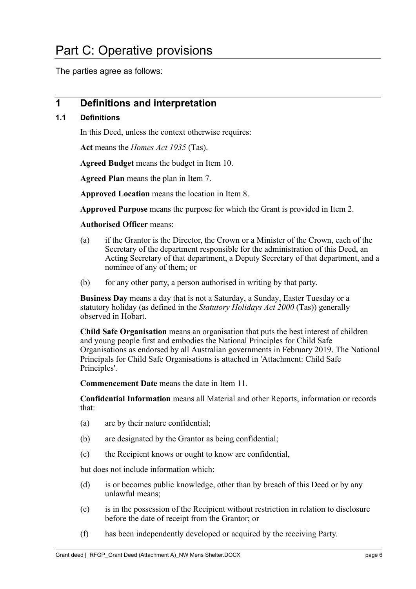<span id="page-10-0"></span>The parties agree as follows:

## <span id="page-10-1"></span>**1 Definitions and interpretation**

#### <span id="page-10-3"></span><span id="page-10-2"></span>**1.1 Definitions**

In this Deed, unless the context otherwise requires:

**Act** means the *Homes Act 1935* (Tas).

**Agreed Budget** means the budget in [Item 10.](#page-8-1)

**Agreed Plan** means the plan in [Item 7.](#page-7-0)

**Approved Location** means the location in [Item 8.](#page-7-1)

**Approved Purpose** means the purpose for which the Grant is provided in [Item 2.](#page-6-1)

#### **Authorised Officer** means:

- (a) if the Grantor is the Director, the Crown or a Minister of the Crown, each of the Secretary of the department responsible for the administration of this Deed, an Acting Secretary of that department, a Deputy Secretary of that department, and a nominee of any of them; or
- (b) for any other party, a person authorised in writing by that party.

**Business Day** means a day that is not a Saturday, a Sunday, Easter Tuesday or a statutory holiday (as defined in the *Statutory Holidays Act 2000* (Tas)) generally observed in Hobart.

**Child Safe Organisation** means an organisation that puts the best interest of children and young people first and embodies the National Principles for Child Safe Organisations as endorsed by all Australian governments in February 2019. The National Principals for Child Safe Organisations is attached in 'Attachment: Child Safe Principles'.

**Commencement Date** means the date in [Item 11.](#page-8-2)

**Confidential Information** means all Material and other Reports, information or records that:

- (a) are by their nature confidential;
- (b) are designated by the Grantor as being confidential;
- (c) the Recipient knows or ought to know are confidential,

but does not include information which:

- (d) is or becomes public knowledge, other than by breach of this Deed or by any unlawful means;
- (e) is in the possession of the Recipient without restriction in relation to disclosure before the date of receipt from the Grantor; or
- (f) has been independently developed or acquired by the receiving Party.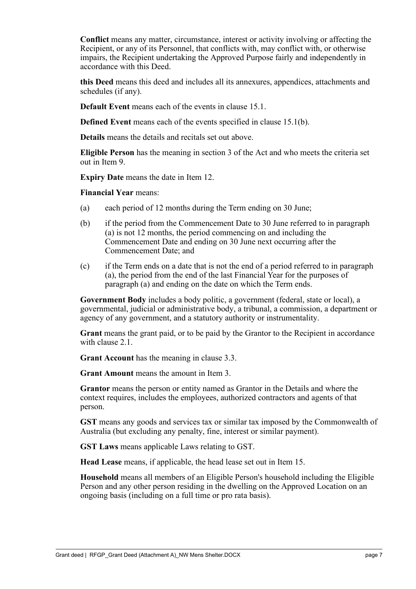**Conflict** means any matter, circumstance, interest or activity involving or affecting the Recipient, or any of its Personnel, that conflicts with, may conflict with, or otherwise impairs, the Recipient undertaking the Approved Purpose fairly and independently in accordance with this Deed.

**this Deed** means this deed and includes all its annexures, appendices, attachments and schedules (if any).

**Default Event** means each of the events in clause [15.1.](#page-31-3)

**Defined Event** means each of the events specified in clause [15.1\(b\).](#page-31-4)

**Details** means the details and recitals set out above.

**Eligible Person** has the meaning in section 3 of the Act and who meets the criteria set out in [Item 9.](#page-8-3)

**Expiry Date** means the date in [Item 12.](#page-8-4)

**Financial Year** means:

- (a) each period of 12 months during the Term ending on 30 June;
- (b) if the period from the Commencement Date to 30 June referred to in paragraph (a) is not 12 months, the period commencing on and including the Commencement Date and ending on 30 June next occurring after the Commencement Date; and
- (c) if the Term ends on a date that is not the end of a period referred to in paragraph (a), the period from the end of the last Financial Year for the purposes of paragraph (a) and ending on the date on which the Term ends.

**Government Body** includes a body politic, a government (federal, state or local), a governmental, judicial or administrative body, a tribunal, a commission, a department or agency of any government, and a statutory authority or instrumentality.

**Grant** means the grant paid, or to be paid by the Grantor to the Recipient in accordance with clause [2.1.](#page-15-9)

**Grant Account** has the meaning in clause [3.3.](#page-16-3)

**Grant Amount** means the amount in [Item 3.](#page-6-2)

**Grantor** means the person or entity named as Grantor in the Details and where the context requires, includes the employees, authorized contractors and agents of that person.

**GST** means any goods and services tax or similar tax imposed by the Commonwealth of Australia (but excluding any penalty, fine, interest or similar payment).

**GST Laws** means applicable Laws relating to GST.

**Head Lease** means, if applicable, the head lease set out in [Item 15.](#page-8-5)

**Household** means all members of an Eligible Person's household including the Eligible Person and any other person residing in the dwelling on the Approved Location on an ongoing basis (including on a full time or pro rata basis).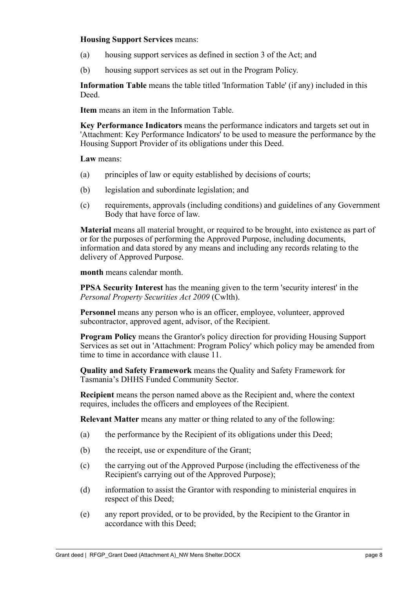#### **Housing Support Services** means:

- (a) housing support services as defined in section 3 of the Act; and
- (b) housing support services as set out in the Program Policy.

**Information Table** means the table titled 'Information Table' (if any) included in this Deed.

**Item** means an item in the Information Table.

**Key Performance Indicators** means the performance indicators and targets set out in 'Attachment: Key Performance Indicators' to be used to measure the performance by the Housing Support Provider of its obligations under this Deed.

**Law** means:

- (a) principles of law or equity established by decisions of courts;
- (b) legislation and subordinate legislation; and
- (c) requirements, approvals (including conditions) and guidelines of any Government Body that have force of law.

**Material** means all material brought, or required to be brought, into existence as part of or for the purposes of performing the Approved Purpose, including documents, information and data stored by any means and including any records relating to the delivery of Approved Purpose.

**month** means calendar month.

**PPSA Security Interest** has the meaning given to the term 'security interest' in the *Personal Property Securities Act 2009* (Cwlth).

**Personnel** means any person who is an officer, employee, volunteer, approved subcontractor, approved agent, advisor, of the Recipient.

**Program Policy** means the Grantor's policy direction for providing Housing Support Services as set out in 'Attachment: Program Policy' which policy may be amended from time to time in accordance with clause [11.](#page-26-3)

**Quality and Safety Framework** means the Quality and Safety Framework for Tasmania's DHHS Funded Community Sector.

**Recipient** means the person named above as the Recipient and, where the context requires, includes the officers and employees of the Recipient.

**Relevant Matter** means any matter or thing related to any of the following:

- (a) the performance by the Recipient of its obligations under this Deed;
- (b) the receipt, use or expenditure of the Grant;
- (c) the carrying out of the Approved Purpose (including the effectiveness of the Recipient's carrying out of the Approved Purpose);
- (d) information to assist the Grantor with responding to ministerial enquires in respect of this Deed;
- (e) any report provided, or to be provided, by the Recipient to the Grantor in accordance with this Deed;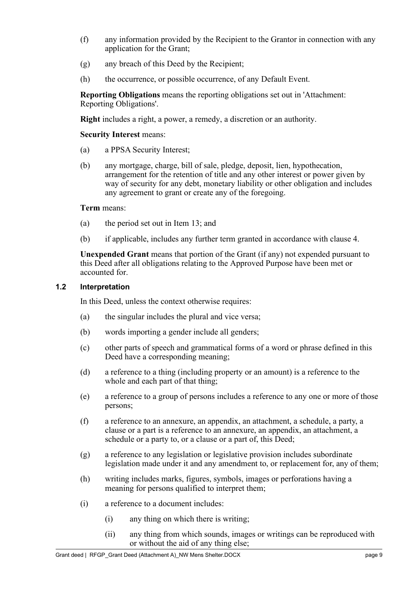- (f) any information provided by the Recipient to the Grantor in connection with any application for the Grant;
- (g) any breach of this Deed by the Recipient;
- (h) the occurrence, or possible occurrence, of any Default Event.

**Reporting Obligations** means the reporting obligations set out in 'Attachment: Reporting Obligations'.

**Right** includes a right, a power, a remedy, a discretion or an authority.

**Security Interest** means:

- (a) a PPSA Security Interest;
- (b) any mortgage, charge, bill of sale, pledge, deposit, lien, hypothecation, arrangement for the retention of title and any other interest or power given by way of security for any debt, monetary liability or other obligation and includes any agreement to grant or create any of the foregoing.

#### **Term** means:

- (a) the period set out in [Item 13;](#page-8-6) and
- (b) if applicable, includes any further term granted in accordance with clause [4.](#page-17-7)

**Unexpended Grant** means that portion of the Grant (if any) not expended pursuant to this Deed after all obligations relating to the Approved Purpose have been met or accounted for.

#### <span id="page-13-0"></span>**1.2 Interpretation**

In this Deed, unless the context otherwise requires:

- (a) the singular includes the plural and vice versa;
- (b) words importing a gender include all genders;
- (c) other parts of speech and grammatical forms of a word or phrase defined in this Deed have a corresponding meaning;
- (d) a reference to a thing (including property or an amount) is a reference to the whole and each part of that thing;
- (e) a reference to a group of persons includes a reference to any one or more of those persons;
- (f) a reference to an annexure, an appendix, an attachment, a schedule, a party, a clause or a part is a reference to an annexure, an appendix, an attachment, a schedule or a party to, or a clause or a part of, this Deed;
- (g) a reference to any legislation or legislative provision includes subordinate legislation made under it and any amendment to, or replacement for, any of them;
- (h) writing includes marks, figures, symbols, images or perforations having a meaning for persons qualified to interpret them;
- (i) a reference to a document includes:
	- (i) any thing on which there is writing;
	- (ii) any thing from which sounds, images or writings can be reproduced with or without the aid of any thing else;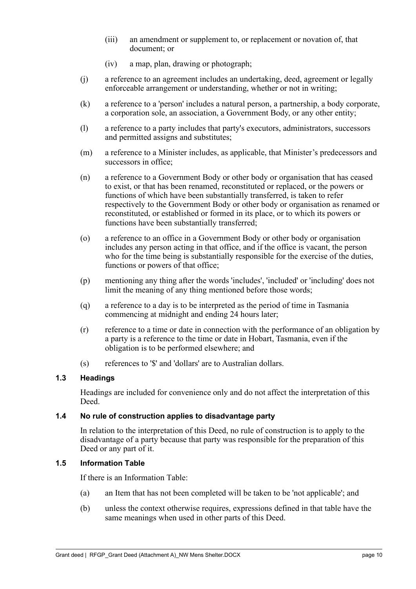- (iii) an amendment or supplement to, or replacement or novation of, that document; or
- (iv) a map, plan, drawing or photograph;
- (j) a reference to an agreement includes an undertaking, deed, agreement or legally enforceable arrangement or understanding, whether or not in writing;
- (k) a reference to a 'person' includes a natural person, a partnership, a body corporate, a corporation sole, an association, a Government Body, or any other entity;
- (l) a reference to a party includes that party's executors, administrators, successors and permitted assigns and substitutes;
- (m) a reference to a Minister includes, as applicable, that Minister's predecessors and successors in office;
- (n) a reference to a Government Body or other body or organisation that has ceased to exist, or that has been renamed, reconstituted or replaced, or the powers or functions of which have been substantially transferred, is taken to refer respectively to the Government Body or other body or organisation as renamed or reconstituted, or established or formed in its place, or to which its powers or functions have been substantially transferred;
- (o) a reference to an office in a Government Body or other body or organisation includes any person acting in that office, and if the office is vacant, the person who for the time being is substantially responsible for the exercise of the duties, functions or powers of that office;
- (p) mentioning any thing after the words 'includes', 'included' or 'including' does not limit the meaning of any thing mentioned before those words;
- (q) a reference to a day is to be interpreted as the period of time in Tasmania commencing at midnight and ending 24 hours later;
- (r) reference to a time or date in connection with the performance of an obligation by a party is a reference to the time or date in Hobart, Tasmania, even if the obligation is to be performed elsewhere; and
- (s) references to '\$' and 'dollars' are to Australian dollars.

#### <span id="page-14-0"></span>**1.3 Headings**

Headings are included for convenience only and do not affect the interpretation of this Deed.

#### <span id="page-14-1"></span>**1.4 No rule of construction applies to disadvantage party**

In relation to the interpretation of this Deed, no rule of construction is to apply to the disadvantage of a party because that party was responsible for the preparation of this Deed or any part of it.

#### <span id="page-14-2"></span>**1.5 Information Table**

If there is an Information Table:

- (a) an Item that has not been completed will be taken to be 'not applicable'; and
- (b) unless the context otherwise requires, expressions defined in that table have the same meanings when used in other parts of this Deed.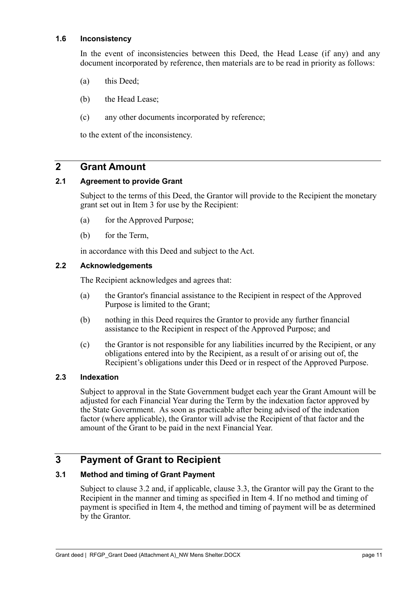#### <span id="page-15-0"></span>**1.6 Inconsistency**

In the event of inconsistencies between this Deed, the Head Lease (if any) and any document incorporated by reference, then materials are to be read in priority as follows:

- (a) this Deed;
- (b) the Head Lease;
- (c) any other documents incorporated by reference;

to the extent of the inconsistency.

### <span id="page-15-1"></span>**2 Grant Amount**

#### <span id="page-15-9"></span><span id="page-15-2"></span>**2.1 Agreement to provide Grant**

Subject to the terms of this Deed, the Grantor will provide to the Recipient the monetary grant set out in [Item 3](#page-6-2) for use by the Recipient:

- (a) for the Approved Purpose;
- (b) for the Term,

in accordance with this Deed and subject to the Act.

#### <span id="page-15-3"></span>**2.2 Acknowledgements**

The Recipient acknowledges and agrees that:

- (a) the Grantor's financial assistance to the Recipient in respect of the Approved Purpose is limited to the Grant;
- (b) nothing in this Deed requires the Grantor to provide any further financial assistance to the Recipient in respect of the Approved Purpose; and
- (c) the Grantor is not responsible for any liabilities incurred by the Recipient, or any obligations entered into by the Recipient, as a result of or arising out of, the Recipient's obligations under this Deed or in respect of the Approved Purpose.

#### <span id="page-15-7"></span><span id="page-15-4"></span>**2.3 Indexation**

Subject to approval in the State Government budget each year the Grant Amount will be adjusted for each Financial Year during the Term by the indexation factor approved by the State Government. As soon as practicable after being advised of the indexation factor (where applicable), the Grantor will advise the Recipient of that factor and the amount of the Grant to be paid in the next Financial Year.

## <span id="page-15-5"></span>**3 Payment of Grant to Recipient**

#### <span id="page-15-8"></span><span id="page-15-6"></span>**3.1 Method and timing of Grant Payment**

Subject to clause [3.2](#page-16-4) and, if applicable, clause [3.3,](#page-16-3) the Grantor will pay the Grant to the Recipient in the manner and timing as specified in [Item 4.](#page-7-2) If no method and timing of payment is specified in [Item 4,](#page-7-2) the method and timing of payment will be as determined by the Grantor.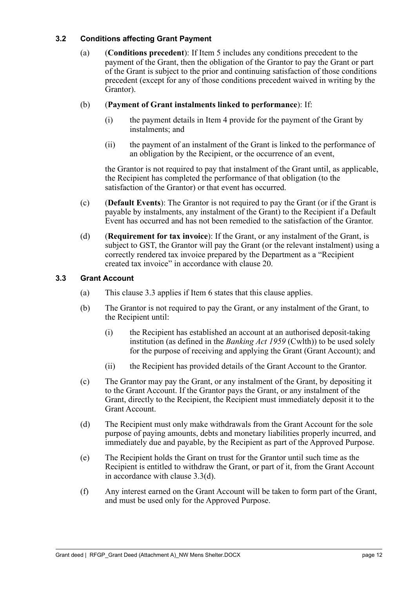#### <span id="page-16-4"></span><span id="page-16-2"></span><span id="page-16-0"></span>**3.2 Conditions affecting Grant Payment**

(a) (**Conditions precedent**): If [Item 5](#page-7-3) includes any conditions precedent to the payment of the Grant, then the obligation of the Grantor to pay the Grant or part of the Grant is subject to the prior and continuing satisfaction of those conditions precedent (except for any of those conditions precedent waived in writing by the Grantor).

#### (b) (**Payment of Grant instalments linked to performance**): If:

- (i) the payment details in [Item 4](#page-7-2) provide for the payment of the Grant by instalments; and
- (ii) the payment of an instalment of the Grant is linked to the performance of an obligation by the Recipient, or the occurrence of an event,

the Grantor is not required to pay that instalment of the Grant until, as applicable, the Recipient has completed the performance of that obligation (to the satisfaction of the Grantor) or that event has occurred.

- (c) (**Default Events**): The Grantor is not required to pay the Grant (or if the Grant is payable by instalments, any instalment of the Grant) to the Recipient if a Default Event has occurred and has not been remedied to the satisfaction of the Grantor.
- <span id="page-16-5"></span>(d) (**Requirement for tax invoice**): If the Grant, or any instalment of the Grant, is subject to GST, the Grantor will pay the Grant (or the relevant instalment) using a correctly rendered tax invoice prepared by the Department as a "Recipient created tax invoice" in accordance with clause [20.](#page-36-5)

#### <span id="page-16-3"></span><span id="page-16-1"></span>**3.3 Grant Account**

- (a) This clause [3.3](#page-16-3) applies if [Item 6](#page-7-4) states that this clause applies.
- (b) The Grantor is not required to pay the Grant, or any instalment of the Grant, to the Recipient until:
	- (i) the Recipient has established an account at an authorised deposit-taking institution (as defined in the *Banking Act 1959* (Cwlth)) to be used solely for the purpose of receiving and applying the Grant (Grant Account); and
	- (ii) the Recipient has provided details of the Grant Account to the Grantor.
- (c) The Grantor may pay the Grant, or any instalment of the Grant, by depositing it to the Grant Account. If the Grantor pays the Grant, or any instalment of the Grant, directly to the Recipient, the Recipient must immediately deposit it to the Grant Account.
- (d) The Recipient must only make withdrawals from the Grant Account for the sole purpose of paying amounts, debts and monetary liabilities properly incurred, and immediately due and payable, by the Recipient as part of the Approved Purpose.
- (e) The Recipient holds the Grant on trust for the Grantor until such time as the Recipient is entitled to withdraw the Grant, or part of it, from the Grant Account in accordance with clause [3.3\(](#page-16-3)d).
- (f) Any interest earned on the Grant Account will be taken to form part of the Grant, and must be used only for the Approved Purpose.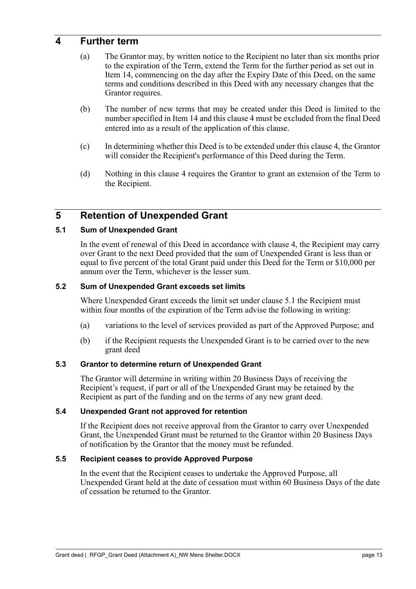### <span id="page-17-7"></span><span id="page-17-0"></span>**4 Further term**

- (a) The Grantor may, by written notice to the Recipient no later than six months prior to the expiration of the Term, extend the Term for the further period as set out in [Item 14,](#page-8-7) commencing on the day after the Expiry Date of this Deed, on the same terms and conditions described in this Deed with any necessary changes that the Grantor requires.
- (b) The number of new terms that may be created under this Deed is limited to the number specified in [Item 14](#page-8-7) and this clause [4](#page-17-7) must be excluded from the final Deed entered into as a result of the application of this clause.
- (c) In determining whether this Deed is to be extended under this clause [4,](#page-17-7) the Grantor will consider the Recipient's performance of this Deed during the Term.
- (d) Nothing in this clause [4](#page-17-7) requires the Grantor to grant an extension of the Term to the Recipient.

## <span id="page-17-1"></span>**5 Retention of Unexpended Grant**

#### <span id="page-17-8"></span><span id="page-17-2"></span>**5.1 Sum of Unexpended Grant**

In the event of renewal of this Deed in accordance with clause [4,](#page-17-7) the Recipient may carry over Grant to the next Deed provided that the sum of Unexpended Grant is less than or equal to five percent of the total Grant paid under this Deed for the Term or \$10,000 per annum over the Term, whichever is the lesser sum.

#### <span id="page-17-3"></span>**5.2 Sum of Unexpended Grant exceeds set limits**

Where Unexpended Grant exceeds the limit set under clause [5.1](#page-17-8) the Recipient must within four months of the expiration of the Term advise the following in writing:

- (a) variations to the level of services provided as part of the Approved Purpose; and
- (b) if the Recipient requests the Unexpended Grant is to be carried over to the new grant deed

#### <span id="page-17-4"></span>**5.3 Grantor to determine return of Unexpended Grant**

The Grantor will determine in writing within 20 Business Days of receiving the Recipient's request, if part or all of the Unexpended Grant may be retained by the Recipient as part of the funding and on the terms of any new grant deed.

#### <span id="page-17-5"></span>**5.4 Unexpended Grant not approved for retention**

If the Recipient does not receive approval from the Grantor to carry over Unexpended Grant, the Unexpended Grant must be returned to the Grantor within 20 Business Days of notification by the Grantor that the money must be refunded.

#### <span id="page-17-6"></span>**5.5 Recipient ceases to provide Approved Purpose**

In the event that the Recipient ceases to undertake the Approved Purpose, all Unexpended Grant held at the date of cessation must within 60 Business Days of the date of cessation be returned to the Grantor.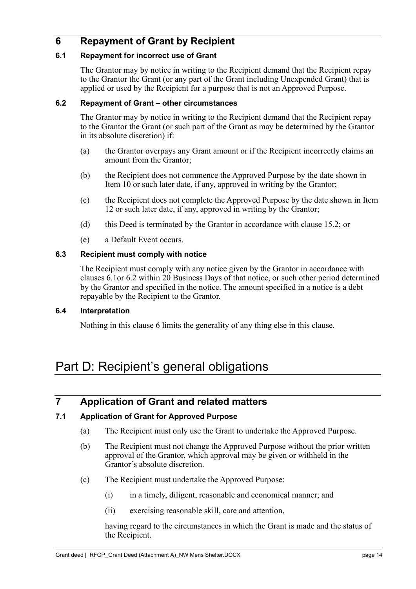## <span id="page-18-10"></span><span id="page-18-0"></span>**6 Repayment of Grant by Recipient**

#### <span id="page-18-8"></span><span id="page-18-1"></span>**6.1 Repayment for incorrect use of Grant**

The Grantor may by notice in writing to the Recipient demand that the Recipient repay to the Grantor the Grant (or any part of the Grant including Unexpended Grant) that is applied or used by the Recipient for a purpose that is not an Approved Purpose.

#### <span id="page-18-9"></span><span id="page-18-2"></span>**6.2 Repayment of Grant – other circumstances**

The Grantor may by notice in writing to the Recipient demand that the Recipient repay to the Grantor the Grant (or such part of the Grant as may be determined by the Grantor in its absolute discretion) if:

- (a) the Grantor overpays any Grant amount or if the Recipient incorrectly claims an amount from the Grantor;
- (b) the Recipient does not commence the Approved Purpose by the date shown in Item 10 or such later date, if any, approved in writing by the Grantor;
- (c) the Recipient does not complete the Approved Purpose by the date shown in [Item](#page-8-4)  [12](#page-8-4) or such later date, if any, approved in writing by the Grantor;
- (d) this Deed is terminated by the Grantor in accordance with clause [15.2;](#page-32-2) or
- (e) a Default Event occurs.

#### <span id="page-18-3"></span>**6.3 Recipient must comply with notice**

The Recipient must comply with any notice given by the Grantor in accordance with clauses [6.1o](#page-18-8)r [6.2](#page-18-9) within 20 Business Days of that notice, or such other period determined by the Grantor and specified in the notice. The amount specified in a notice is a debt repayable by the Recipient to the Grantor.

#### <span id="page-18-4"></span>**6.4 Interpretation**

Nothing in this clause [6](#page-18-10) limits the generality of any thing else in this clause.

## <span id="page-18-5"></span>Part D: Recipient's general obligations

## <span id="page-18-6"></span>**7 Application of Grant and related matters**

#### <span id="page-18-7"></span>**7.1 Application of Grant for Approved Purpose**

- (a) The Recipient must only use the Grant to undertake the Approved Purpose.
- (b) The Recipient must not change the Approved Purpose without the prior written approval of the Grantor, which approval may be given or withheld in the Grantor's absolute discretion.
- (c) The Recipient must undertake the Approved Purpose:
	- (i) in a timely, diligent, reasonable and economical manner; and
	- (ii) exercising reasonable skill, care and attention,

having regard to the circumstances in which the Grant is made and the status of the Recipient.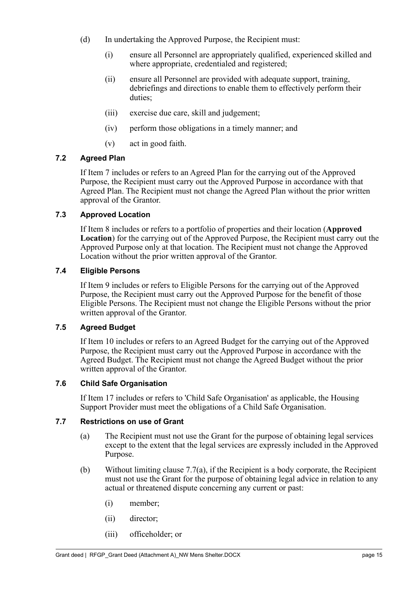- (d) In undertaking the Approved Purpose, the Recipient must:
	- (i) ensure all Personnel are appropriately qualified, experienced skilled and where appropriate, credentialed and registered;
	- (ii) ensure all Personnel are provided with adequate support, training, debriefings and directions to enable them to effectively perform their duties;
	- (iii) exercise due care, skill and judgement;
	- (iv) perform those obligations in a timely manner; and
	- (v) act in good faith.

#### <span id="page-19-6"></span><span id="page-19-0"></span>**7.2 Agreed Plan**

If [Item 7](#page-7-0) includes or refers to an Agreed Plan for the carrying out of the Approved Purpose, the Recipient must carry out the Approved Purpose in accordance with that Agreed Plan. The Recipient must not change the Agreed Plan without the prior written approval of the Grantor.

#### <span id="page-19-7"></span><span id="page-19-1"></span>**7.3 Approved Location**

If [Item 8](#page-7-1) includes or refers to a portfolio of properties and their location (**Approved Location**) for the carrying out of the Approved Purpose, the Recipient must carry out the Approved Purpose only at that location. The Recipient must not change the Approved Location without the prior written approval of the Grantor.

#### <span id="page-19-8"></span><span id="page-19-2"></span>**7.4 Eligible Persons**

If [Item 9](#page-8-3) includes or refers to Eligible Persons for the carrying out of the Approved Purpose, the Recipient must carry out the Approved Purpose for the benefit of those Eligible Persons. The Recipient must not change the Eligible Persons without the prior written approval of the Grantor.

#### <span id="page-19-9"></span><span id="page-19-3"></span>**7.5 Agreed Budget**

If [Item 10](#page-8-1) includes or refers to an Agreed Budget for the carrying out of the Approved Purpose, the Recipient must carry out the Approved Purpose in accordance with the Agreed Budget. The Recipient must not change the Agreed Budget without the prior written approval of the Grantor.

#### <span id="page-19-4"></span>**7.6 Child Safe Organisation**

If [Item 17](#page-8-8) includes or refers to 'Child Safe Organisation' as applicable, the Housing Support Provider must meet the obligations of a Child Safe Organisation.

#### <span id="page-19-10"></span><span id="page-19-5"></span>**7.7 Restrictions on use of Grant**

- (a) The Recipient must not use the Grant for the purpose of obtaining legal services except to the extent that the legal services are expressly included in the Approved Purpose.
- (b) Without limiting clause [7.7\(](#page-19-10)a), if the Recipient is a body corporate, the Recipient must not use the Grant for the purpose of obtaining legal advice in relation to any actual or threatened dispute concerning any current or past:
	- (i) member;
	- (ii) director;
	- (iii) officeholder; or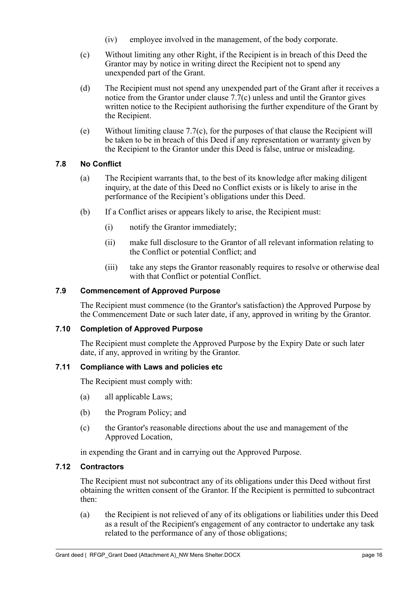- (iv) employee involved in the management, of the body corporate.
- (c) Without limiting any other Right, if the Recipient is in breach of this Deed the Grantor may by notice in writing direct the Recipient not to spend any unexpended part of the Grant.
- (d) The Recipient must not spend any unexpended part of the Grant after it receives a notice from the Grantor under clause [7.7\(](#page-19-10)c) unless and until the Grantor gives written notice to the Recipient authorising the further expenditure of the Grant by the Recipient.
- (e) Without limiting clause [7.7\(](#page-19-10)c), for the purposes of that clause the Recipient will be taken to be in breach of this Deed if any representation or warranty given by the Recipient to the Grantor under this Deed is false, untrue or misleading.

#### <span id="page-20-0"></span>**7.8 No Conflict**

- (a) The Recipient warrants that, to the best of its knowledge after making diligent inquiry, at the date of this Deed no Conflict exists or is likely to arise in the performance of the Recipient's obligations under this Deed.
- (b) If a Conflict arises or appears likely to arise, the Recipient must:
	- (i) notify the Grantor immediately;
	- (ii) make full disclosure to the Grantor of all relevant information relating to the Conflict or potential Conflict; and
	- (iii) take any steps the Grantor reasonably requires to resolve or otherwise deal with that Conflict or potential Conflict.

#### <span id="page-20-5"></span><span id="page-20-1"></span>**7.9 Commencement of Approved Purpose**

The Recipient must commence (to the Grantor's satisfaction) the Approved Purpose by the Commencement Date or such later date, if any, approved in writing by the Grantor.

#### <span id="page-20-6"></span><span id="page-20-2"></span>**7.10 Completion of Approved Purpose**

The Recipient must complete the Approved Purpose by the Expiry Date or such later date, if any, approved in writing by the Grantor.

#### <span id="page-20-7"></span><span id="page-20-3"></span>**7.11 Compliance with Laws and policies etc**

The Recipient must comply with:

- (a) all applicable Laws;
- (b) the Program Policy; and
- (c) the Grantor's reasonable directions about the use and management of the Approved Location,

in expending the Grant and in carrying out the Approved Purpose.

#### <span id="page-20-4"></span>**7.12 Contractors**

The Recipient must not subcontract any of its obligations under this Deed without first obtaining the written consent of the Grantor. If the Recipient is permitted to subcontract then:

(a) the Recipient is not relieved of any of its obligations or liabilities under this Deed as a result of the Recipient's engagement of any contractor to undertake any task related to the performance of any of those obligations;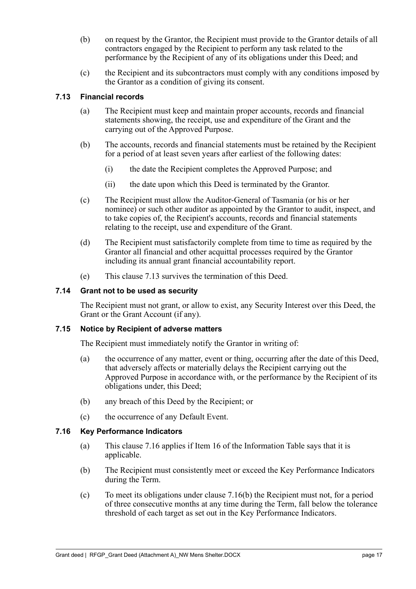- (b) on request by the Grantor, the Recipient must provide to the Grantor details of all contractors engaged by the Recipient to perform any task related to the performance by the Recipient of any of its obligations under this Deed; and
- (c) the Recipient and its subcontractors must comply with any conditions imposed by the Grantor as a condition of giving its consent.

#### <span id="page-21-4"></span><span id="page-21-0"></span>**7.13 Financial records**

- (a) The Recipient must keep and maintain proper accounts, records and financial statements showing, the receipt, use and expenditure of the Grant and the carrying out of the Approved Purpose.
- (b) The accounts, records and financial statements must be retained by the Recipient for a period of at least seven years after earliest of the following dates:
	- (i) the date the Recipient completes the Approved Purpose; and
	- (ii) the date upon which this Deed is terminated by the Grantor.
- (c) The Recipient must allow the Auditor-General of Tasmania (or his or her nominee) or such other auditor as appointed by the Grantor to audit, inspect, and to take copies of, the Recipient's accounts, records and financial statements relating to the receipt, use and expenditure of the Grant.
- (d) The Recipient must satisfactorily complete from time to time as required by the Grantor all financial and other acquittal processes required by the Grantor including its annual grant financial accountability report.
- (e) This clause [7.13](#page-21-4) survives the termination of this Deed.

#### <span id="page-21-1"></span>**7.14 Grant not to be used as security**

The Recipient must not grant, or allow to exist, any Security Interest over this Deed, the Grant or the Grant Account (if any).

#### <span id="page-21-2"></span>**7.15 Notice by Recipient of adverse matters**

The Recipient must immediately notify the Grantor in writing of:

- (a) the occurrence of any matter, event or thing, occurring after the date of this Deed, that adversely affects or materially delays the Recipient carrying out the Approved Purpose in accordance with, or the performance by the Recipient of its obligations under, this Deed;
- (b) any breach of this Deed by the Recipient; or
- (c) the occurrence of any Default Event.

#### <span id="page-21-5"></span><span id="page-21-3"></span>**7.16 Key Performance Indicators**

- (a) This clause [7.16](#page-21-5) applies if [Item 16](#page-8-9) of the Information Table says that it is applicable.
- <span id="page-21-6"></span>(b) The Recipient must consistently meet or exceed the Key Performance Indicators during the Term.
- <span id="page-21-7"></span>(c) To meet its obligations under clause [7.16](#page-21-5)[\(b\)](#page-21-6) the Recipient must not, for a period of three consecutive months at any time during the Term, fall below the tolerance threshold of each target as set out in the Key Performance Indicators.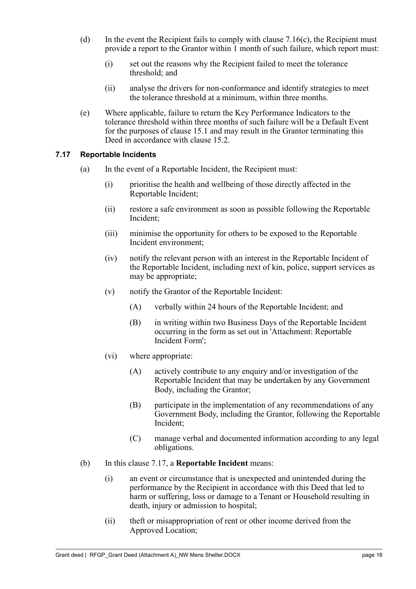- (d) In the event the Recipient fails to comply with clause  $7.16(c)$ , the Recipient must provide a report to the Grantor within 1 month of such failure, which report must:
	- (i) set out the reasons why the Recipient failed to meet the tolerance threshold; and
	- (ii) analyse the drivers for non-conformance and identify strategies to meet the tolerance threshold at a minimum, within three months.
- (e) Where applicable, failure to return the Key Performance Indicators to the tolerance threshold within three months of such failure will be a Default Event for the purposes of clause [15.1](#page-31-3) and may result in the Grantor terminating this Deed in accordance with clause [15.2.](#page-32-2)

#### <span id="page-22-1"></span><span id="page-22-0"></span>**7.17 Reportable Incidents**

- (a) In the event of a Reportable Incident, the Recipient must:
	- (i) prioritise the health and wellbeing of those directly affected in the Reportable Incident;
	- (ii) restore a safe environment as soon as possible following the Reportable Incident;
	- (iii) minimise the opportunity for others to be exposed to the Reportable Incident environment;
	- (iv) notify the relevant person with an interest in the Reportable Incident of the Reportable Incident, including next of kin, police, support services as may be appropriate;
	- (v) notify the Grantor of the Reportable Incident:
		- (A) verbally within 24 hours of the Reportable Incident; and
		- (B) in writing within two Business Days of the Reportable Incident occurring in the form as set out in 'Attachment: Reportable Incident Form';
	- (vi) where appropriate:
		- (A) actively contribute to any enquiry and/or investigation of the Reportable Incident that may be undertaken by any Government Body, including the Grantor;
		- (B) participate in the implementation of any recommendations of any Government Body, including the Grantor, following the Reportable Incident;
		- (C) manage verbal and documented information according to any legal obligations.
- (b) In this clause [7.17,](#page-22-1) a **Reportable Incident** means:
	- (i) an event or circumstance that is unexpected and unintended during the performance by the Recipient in accordance with this Deed that led to harm or suffering, loss or damage to a Tenant or Household resulting in death, injury or admission to hospital;
	- (ii) theft or misappropriation of rent or other income derived from the Approved Location;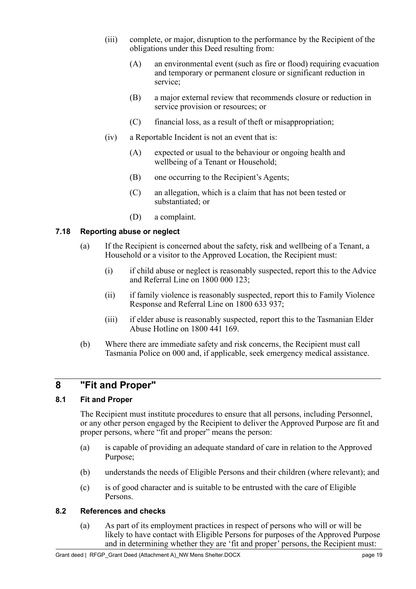- (iii) complete, or major, disruption to the performance by the Recipient of the obligations under this Deed resulting from:
	- (A) an environmental event (such as fire or flood) requiring evacuation and temporary or permanent closure or significant reduction in service;
	- (B) a major external review that recommends closure or reduction in service provision or resources; or
	- (C) financial loss, as a result of theft or misappropriation;
- (iv) a Reportable Incident is not an event that is:
	- (A) expected or usual to the behaviour or ongoing health and wellbeing of a Tenant or Household;
	- (B) one occurring to the Recipient's Agents;
	- (C) an allegation, which is a claim that has not been tested or substantiated; or
	- (D) a complaint.

#### <span id="page-23-0"></span>**7.18 Reporting abuse or neglect**

- (a) If the Recipient is concerned about the safety, risk and wellbeing of a Tenant, a Household or a visitor to the Approved Location, the Recipient must:
	- (i) if child abuse or neglect is reasonably suspected, report this to the Advice and Referral Line on 1800 000 123;
	- (ii) if family violence is reasonably suspected, report this to Family Violence Response and Referral Line on 1800 633 937;
	- (iii) if elder abuse is reasonably suspected, report this to the Tasmanian Elder Abuse Hotline on 1800 441 169.
- (b) Where there are immediate safety and risk concerns, the Recipient must call Tasmania Police on 000 and, if applicable, seek emergency medical assistance.

## <span id="page-23-1"></span>**8 "Fit and Proper"**

#### <span id="page-23-4"></span><span id="page-23-2"></span>**8.1 Fit and Proper**

The Recipient must institute procedures to ensure that all persons, including Personnel, or any other person engaged by the Recipient to deliver the Approved Purpose are fit and proper persons, where "fit and proper" means the person:

- (a) is capable of providing an adequate standard of care in relation to the Approved Purpose;
- (b) understands the needs of Eligible Persons and their children (where relevant); and
- (c) is of good character and is suitable to be entrusted with the care of Eligible Persons.

#### <span id="page-23-3"></span>**8.2 References and checks**

(a) As part of its employment practices in respect of persons who will or will be likely to have contact with Eligible Persons for purposes of the Approved Purpose and in determining whether they are 'fit and proper' persons, the Recipient must: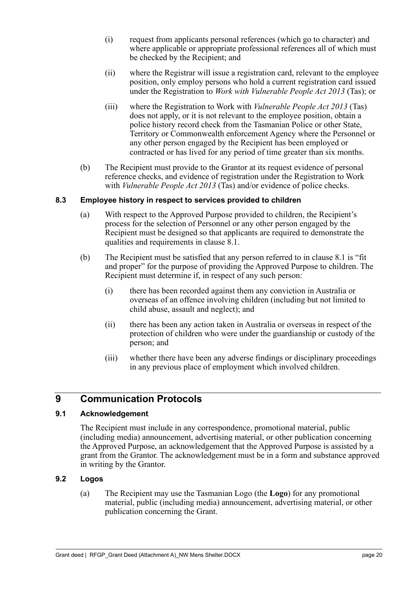- (i) request from applicants personal references (which go to character) and where applicable or appropriate professional references all of which must be checked by the Recipient; and
- (ii) where the Registrar will issue a registration card, relevant to the employee position, only employ persons who hold a current registration card issued under the Registration to *Work with Vulnerable People Act 2013* (Tas); or
- (iii) where the Registration to Work with *Vulnerable People Act 2013* (Tas) does not apply, or it is not relevant to the employee position, obtain a police history record check from the Tasmanian Police or other State, Territory or Commonwealth enforcement Agency where the Personnel or any other person engaged by the Recipient has been employed or contracted or has lived for any period of time greater than six months.
- (b) The Recipient must provide to the Grantor at its request evidence of personal reference checks, and evidence of registration under the Registration to Work with *Vulnerable People Act 2013* (Tas) and/or evidence of police checks.

#### <span id="page-24-0"></span>**8.3 Employee history in respect to services provided to children**

- (a) With respect to the Approved Purpose provided to children, the Recipient's process for the selection of Personnel or any other person engaged by the Recipient must be designed so that applicants are required to demonstrate the qualities and requirements in clause [8.1.](#page-23-4)
- (b) The Recipient must be satisfied that any person referred to in clause [8.1](#page-23-4) is "fit and proper" for the purpose of providing the Approved Purpose to children. The Recipient must determine if, in respect of any such person:
	- (i) there has been recorded against them any conviction in Australia or overseas of an offence involving children (including but not limited to child abuse, assault and neglect); and
	- (ii) there has been any action taken in Australia or overseas in respect of the protection of children who were under the guardianship or custody of the person; and
	- (iii) whether there have been any adverse findings or disciplinary proceedings in any previous place of employment which involved children.

## <span id="page-24-4"></span><span id="page-24-1"></span>**9 Communication Protocols**

#### <span id="page-24-2"></span>**9.1 Acknowledgement**

The Recipient must include in any correspondence, promotional material, public (including media) announcement, advertising material, or other publication concerning the Approved Purpose, an acknowledgement that the Approved Purpose is assisted by a grant from the Grantor. The acknowledgement must be in a form and substance approved in writing by the Grantor.

#### <span id="page-24-3"></span>**9.2 Logos**

(a) The Recipient may use the Tasmanian Logo (the **Logo**) for any promotional material, public (including media) announcement, advertising material, or other publication concerning the Grant.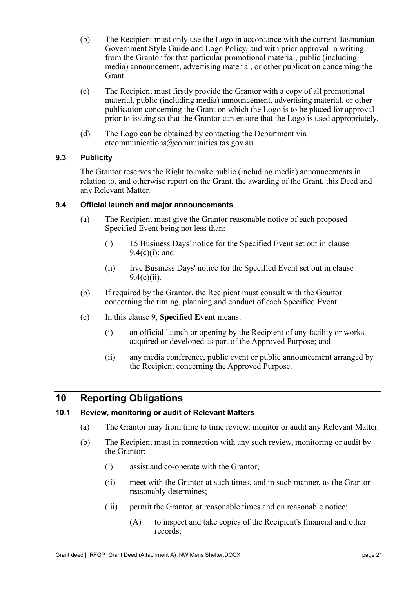- (b) The Recipient must only use the Logo in accordance with the current Tasmanian Government Style Guide and Logo Policy, and with prior approval in writing from the Grantor for that particular promotional material, public (including media) announcement, advertising material, or other publication concerning the Grant.
- (c) The Recipient must firstly provide the Grantor with a copy of all promotional material, public (including media) announcement, advertising material, or other publication concerning the Grant on which the Logo is to be placed for approval prior to issuing so that the Grantor can ensure that the Logo is used appropriately.
- (d) The Logo can be obtained by contacting the Department via ctcommunications@communities.tas.gov.au.

#### <span id="page-25-0"></span>**9.3 Publicity**

The Grantor reserves the Right to make public (including media) announcements in relation to, and otherwise report on the Grant, the awarding of the Grant, this Deed and any Relevant Matter.

#### <span id="page-25-4"></span><span id="page-25-1"></span>**9.4 Official launch and major announcements**

- (a) The Recipient must give the Grantor reasonable notice of each proposed Specified Event being not less than:
	- (i) 15 Business Days' notice for the Specified Event set out in clause [9.4](#page-25-4)[\(c\)\(i\);](#page-25-5) and
	- (ii) five Business Days' notice for the Specified Event set out in clause  $9.4(c)(ii)$  $9.4(c)(ii)$ .
- (b) If required by the Grantor, the Recipient must consult with the Grantor concerning the timing, planning and conduct of each Specified Event.
- <span id="page-25-5"></span>(c) In this clause [9,](#page-24-4) **Specified Event** means:
	- (i) an official launch or opening by the Recipient of any facility or works acquired or developed as part of the Approved Purpose; and
	- (ii) any media conference, public event or public announcement arranged by the Recipient concerning the Approved Purpose.

## <span id="page-25-6"></span><span id="page-25-2"></span>**10 Reporting Obligations**

#### <span id="page-25-3"></span>**10.1 Review, monitoring or audit of Relevant Matters**

- (a) The Grantor may from time to time review, monitor or audit any Relevant Matter.
- (b) The Recipient must in connection with any such review, monitoring or audit by the Grantor:
	- (i) assist and co-operate with the Grantor;
	- (ii) meet with the Grantor at such times, and in such manner, as the Grantor reasonably determines;
	- (iii) permit the Grantor, at reasonable times and on reasonable notice:
		- (A) to inspect and take copies of the Recipient's financial and other records;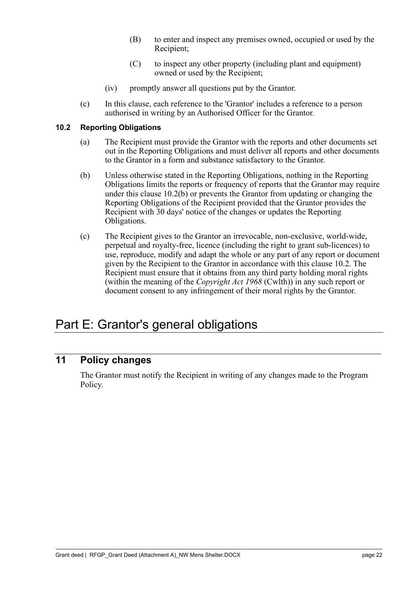- (B) to enter and inspect any premises owned, occupied or used by the Recipient;
- (C) to inspect any other property (including plant and equipment) owned or used by the Recipient;
- (iv) promptly answer all questions put by the Grantor.
- (c) In this clause, each reference to the 'Grantor' includes a reference to a person authorised in writing by an Authorised Officer for the Grantor.

#### <span id="page-26-4"></span><span id="page-26-0"></span>**10.2 Reporting Obligations**

- (a) The Recipient must provide the Grantor with the reports and other documents set out in the Reporting Obligations and must deliver all reports and other documents to the Grantor in a form and substance satisfactory to the Grantor.
- <span id="page-26-5"></span>(b) Unless otherwise stated in the Reporting Obligations, nothing in the Reporting Obligations limits the reports or frequency of reports that the Grantor may require under this clause [10.2](#page-26-4)[\(b\)](#page-26-5) or prevents the Grantor from updating or changing the Reporting Obligations of the Recipient provided that the Grantor provides the Recipient with 30 days' notice of the changes or updates the Reporting Obligations.
- (c) The Recipient gives to the Grantor an irrevocable, non-exclusive, world-wide, perpetual and royalty-free, licence (including the right to grant sub-licences) to use, reproduce, modify and adapt the whole or any part of any report or document given by the Recipient to the Grantor in accordance with this clause [10.2.](#page-26-4) The Recipient must ensure that it obtains from any third party holding moral rights (within the meaning of the *Copyright Act 1968* (Cwlth)) in any such report or document consent to any infringement of their moral rights by the Grantor.

# <span id="page-26-1"></span>Part E: Grantor's general obligations

## <span id="page-26-3"></span><span id="page-26-2"></span>**11 Policy changes**

The Grantor must notify the Recipient in writing of any changes made to the Program Policy.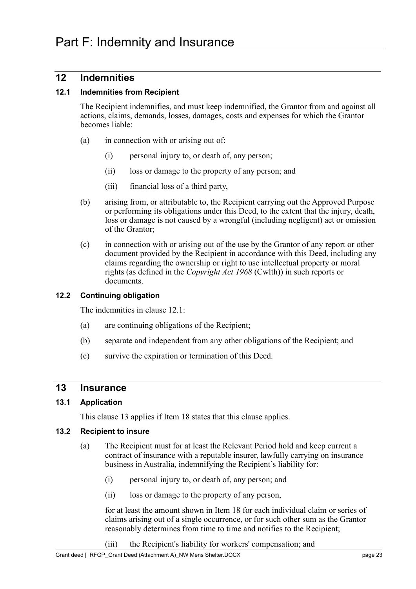## <span id="page-27-1"></span><span id="page-27-0"></span>**12 Indemnities**

#### <span id="page-27-9"></span><span id="page-27-2"></span>**12.1 Indemnities from Recipient**

The Recipient indemnifies, and must keep indemnified, the Grantor from and against all actions, claims, demands, losses, damages, costs and expenses for which the Grantor becomes liable:

- (a) in connection with or arising out of:
	- (i) personal injury to, or death of, any person;
	- (ii) loss or damage to the property of any person; and
	- (iii) financial loss of a third party,
- (b) arising from, or attributable to, the Recipient carrying out the Approved Purpose or performing its obligations under this Deed, to the extent that the injury, death, loss or damage is not caused by a wrongful (including negligent) act or omission of the Grantor;
- (c) in connection with or arising out of the use by the Grantor of any report or other document provided by the Recipient in accordance with this Deed, including any claims regarding the ownership or right to use intellectual property or moral rights (as defined in the *Copyright Act 1968* (Cwlth)) in such reports or documents.

#### <span id="page-27-3"></span>**12.2 Continuing obligation**

The indemnities in clause [12.1:](#page-27-9)

- (a) are continuing obligations of the Recipient;
- (b) separate and independent from any other obligations of the Recipient; and
- (c) survive the expiration or termination of this Deed.

#### <span id="page-27-8"></span><span id="page-27-4"></span>**13 Insurance**

#### <span id="page-27-5"></span>**13.1 Application**

This clause [13](#page-27-8) applies if [Item 18](#page-8-10) states that this clause applies.

#### <span id="page-27-10"></span><span id="page-27-7"></span><span id="page-27-6"></span>**13.2 Recipient to insure**

- <span id="page-27-11"></span>(a) The Recipient must for at least the Relevant Period hold and keep current a contract of insurance with a reputable insurer, lawfully carrying on insurance business in Australia, indemnifying the Recipient's liability for:
	- (i) personal injury to, or death of, any person; and
	- (ii) loss or damage to the property of any person,

<span id="page-27-12"></span>for at least the amount shown in [Item 18](#page-8-10) for each individual claim or series of claims arising out of a single occurrence, or for such other sum as the Grantor reasonably determines from time to time and notifies to the Recipient;

(iii) the Recipient's liability for workers' compensation; and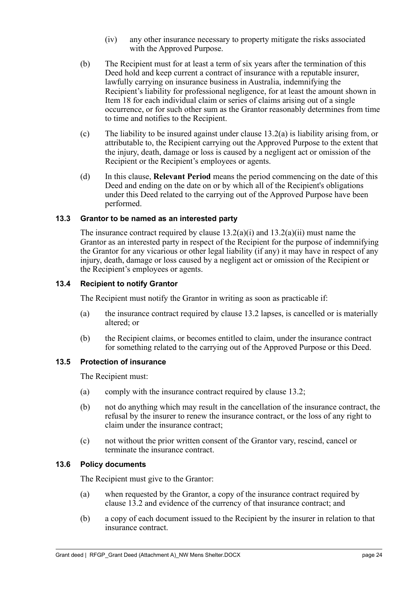- (iv) any other insurance necessary to property mitigate the risks associated with the Approved Purpose.
- <span id="page-28-4"></span>(b) The Recipient must for at least a term of six years after the termination of this Deed hold and keep current a contract of insurance with a reputable insurer, lawfully carrying on insurance business in Australia, indemnifying the Recipient's liability for professional negligence, for at least the amount shown in [Item 18](#page-8-10) for each individual claim or series of claims arising out of a single occurrence, or for such other sum as the Grantor reasonably determines from time to time and notifies to the Recipient.
- (c) The liability to be insured against under clause [13.2\(](#page-27-10)a) is liability arising from, or attributable to, the Recipient carrying out the Approved Purpose to the extent that the injury, death, damage or loss is caused by a negligent act or omission of the Recipient or the Recipient's employees or agents.
- (d) In this clause, **Relevant Period** means the period commencing on the date of this Deed and ending on the date on or by which all of the Recipient's obligations under this Deed related to the carrying out of the Approved Purpose have been performed.

#### <span id="page-28-0"></span>**13.3 Grantor to be named as an interested party**

The insurance contract required by clause  $13.2(a)(i)$  and  $13.2(a)(ii)$  must name the Grantor as an interested party in respect of the Recipient for the purpose of indemnifying the Grantor for any vicarious or other legal liability (if any) it may have in respect of any injury, death, damage or loss caused by a negligent act or omission of the Recipient or the Recipient's employees or agents.

#### <span id="page-28-1"></span>**13.4 Recipient to notify Grantor**

The Recipient must notify the Grantor in writing as soon as practicable if:

- (a) the insurance contract required by clause [13.2](#page-27-10) lapses, is cancelled or is materially altered; or
- (b) the Recipient claims, or becomes entitled to claim, under the insurance contract for something related to the carrying out of the Approved Purpose or this Deed.

#### <span id="page-28-2"></span>**13.5 Protection of insurance**

The Recipient must:

- (a) comply with the insurance contract required by clause [13.2;](#page-27-10)
- (b) not do anything which may result in the cancellation of the insurance contract, the refusal by the insurer to renew the insurance contract, or the loss of any right to claim under the insurance contract;
- (c) not without the prior written consent of the Grantor vary, rescind, cancel or terminate the insurance contract.

#### <span id="page-28-3"></span>**13.6 Policy documents**

The Recipient must give to the Grantor:

- (a) when requested by the Grantor, a copy of the insurance contract required by clause [13.2](#page-27-10) and evidence of the currency of that insurance contract; and
- (b) a copy of each document issued to the Recipient by the insurer in relation to that insurance contract.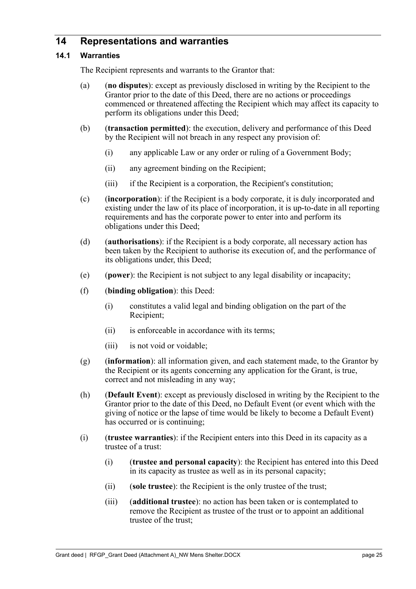## <span id="page-29-0"></span>**14 Representations and warranties**

#### <span id="page-29-2"></span><span id="page-29-1"></span>**14.1 Warranties**

The Recipient represents and warrants to the Grantor that:

- (a) (**no disputes**): except as previously disclosed in writing by the Recipient to the Grantor prior to the date of this Deed, there are no actions or proceedings commenced or threatened affecting the Recipient which may affect its capacity to perform its obligations under this Deed;
- (b) (**transaction permitted**): the execution, delivery and performance of this Deed by the Recipient will not breach in any respect any provision of:
	- (i) any applicable Law or any order or ruling of a Government Body;
	- (ii) any agreement binding on the Recipient;
	- (iii) if the Recipient is a corporation, the Recipient's constitution;
- (c) (**incorporation**): if the Recipient is a body corporate, it is duly incorporated and existing under the law of its place of incorporation, it is up-to-date in all reporting requirements and has the corporate power to enter into and perform its obligations under this Deed;
- (d) (**authorisations**): if the Recipient is a body corporate, all necessary action has been taken by the Recipient to authorise its execution of, and the performance of its obligations under, this Deed;
- (e) (**power**): the Recipient is not subject to any legal disability or incapacity;
- (f) (**binding obligation**): this Deed:
	- (i) constitutes a valid legal and binding obligation on the part of the Recipient;
	- (ii) is enforceable in accordance with its terms;
	- (iii) is not void or voidable;
- (g) (**information**): all information given, and each statement made, to the Grantor by the Recipient or its agents concerning any application for the Grant, is true, correct and not misleading in any way;
- (h) (**Default Event**): except as previously disclosed in writing by the Recipient to the Grantor prior to the date of this Deed, no Default Event (or event which with the giving of notice or the lapse of time would be likely to become a Default Event) has occurred or is continuing;
- (i) (**trustee warranties**): if the Recipient enters into this Deed in its capacity as a trustee of a trust:
	- (i) (**trustee and personal capacity**): the Recipient has entered into this Deed in its capacity as trustee as well as in its personal capacity;
	- (ii) (**sole trustee**): the Recipient is the only trustee of the trust;
	- (iii) (**additional trustee**): no action has been taken or is contemplated to remove the Recipient as trustee of the trust or to appoint an additional trustee of the trust;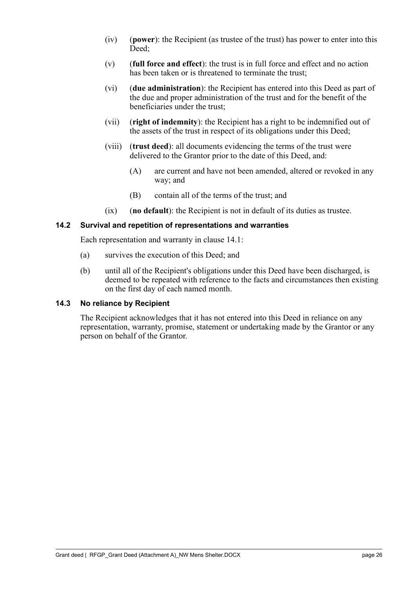- (iv) (**power**): the Recipient (as trustee of the trust) has power to enter into this Deed;
- (v) (**full force and effect**): the trust is in full force and effect and no action has been taken or is threatened to terminate the trust;
- (vi) (**due administration**): the Recipient has entered into this Deed as part of the due and proper administration of the trust and for the benefit of the beneficiaries under the trust;
- (vii) (**right of indemnity**): the Recipient has a right to be indemnified out of the assets of the trust in respect of its obligations under this Deed;
- (viii) (**trust deed**): all documents evidencing the terms of the trust were delivered to the Grantor prior to the date of this Deed, and:
	- (A) are current and have not been amended, altered or revoked in any way; and
	- (B) contain all of the terms of the trust; and
- (ix) (**no default**): the Recipient is not in default of its duties as trustee.

#### <span id="page-30-0"></span>**14.2 Survival and repetition of representations and warranties**

Each representation and warranty in clause [14.1:](#page-29-2)

- (a) survives the execution of this Deed; and
- (b) until all of the Recipient's obligations under this Deed have been discharged, is deemed to be repeated with reference to the facts and circumstances then existing on the first day of each named month.

#### <span id="page-30-1"></span>**14.3 No reliance by Recipient**

The Recipient acknowledges that it has not entered into this Deed in reliance on any representation, warranty, promise, statement or undertaking made by the Grantor or any person on behalf of the Grantor.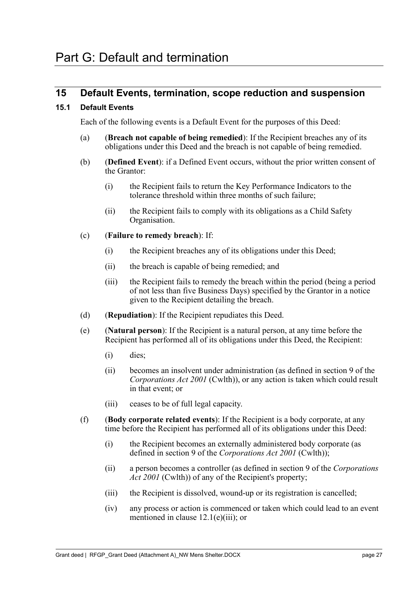## <span id="page-31-1"></span><span id="page-31-0"></span>**15 Default Events, termination, scope reduction and suspension**

#### <span id="page-31-3"></span><span id="page-31-2"></span>**15.1 Default Events**

Each of the following events is a Default Event for the purposes of this Deed:

- (a) (**Breach not capable of being remedied**): If the Recipient breaches any of its obligations under this Deed and the breach is not capable of being remedied.
- <span id="page-31-4"></span>(b) (**Defined Event**): if a Defined Event occurs, without the prior written consent of the Grantor:
	- (i) the Recipient fails to return the Key Performance Indicators to the tolerance threshold within three months of such failure;
	- (ii) the Recipient fails to comply with its obligations as a Child Safety Organisation.

#### (c) (**Failure to remedy breach**): If:

- (i) the Recipient breaches any of its obligations under this Deed;
- (ii) the breach is capable of being remedied; and
- (iii) the Recipient fails to remedy the breach within the period (being a period of not less than five Business Days) specified by the Grantor in a notice given to the Recipient detailing the breach.
- (d) (**Repudiation**): If the Recipient repudiates this Deed.
- (e) (**Natural person**): If the Recipient is a natural person, at any time before the Recipient has performed all of its obligations under this Deed, the Recipient:
	- (i) dies;
	- (ii) becomes an insolvent under administration (as defined in section 9 of the *Corporations Act 2001* (Cwlth)), or any action is taken which could result in that event; or
	- (iii) ceases to be of full legal capacity.
- (f) (**Body corporate related events**): If the Recipient is a body corporate, at any time before the Recipient has performed all of its obligations under this Deed:
	- (i) the Recipient becomes an externally administered body corporate (as defined in section 9 of the *Corporations Act 2001* (Cwlth));
	- (ii) a person becomes a controller (as defined in section 9 of the *Corporations*  Act 2001 (Cwlth)) of any of the Recipient's property;
	- (iii) the Recipient is dissolved, wound-up or its registration is cancelled;
	- (iv) any process or action is commenced or taken which could lead to an event mentioned in clause 12.1(e)(iii); or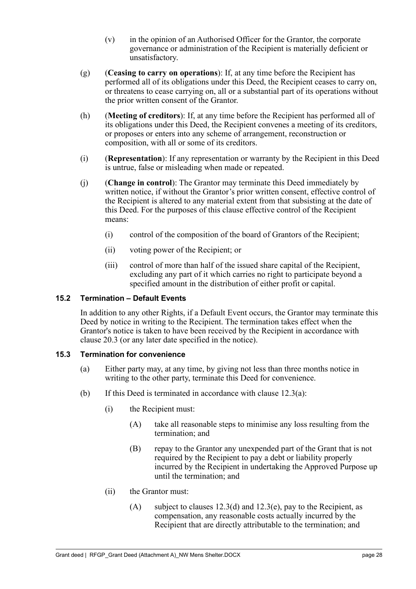- (v) in the opinion of an Authorised Officer for the Grantor, the corporate governance or administration of the Recipient is materially deficient or unsatisfactory.
- (g) (**Ceasing to carry on operations**): If, at any time before the Recipient has performed all of its obligations under this Deed, the Recipient ceases to carry on, or threatens to cease carrying on, all or a substantial part of its operations without the prior written consent of the Grantor.
- (h) (**Meeting of creditors**): If, at any time before the Recipient has performed all of its obligations under this Deed, the Recipient convenes a meeting of its creditors, or proposes or enters into any scheme of arrangement, reconstruction or composition, with all or some of its creditors.
- (i) (**Representation**): If any representation or warranty by the Recipient in this Deed is untrue, false or misleading when made or repeated.
- (j) (**Change in control**): The Grantor may terminate this Deed immediately by written notice, if without the Grantor's prior written consent, effective control of the Recipient is altered to any material extent from that subsisting at the date of this Deed. For the purposes of this clause effective control of the Recipient means:
	- (i) control of the composition of the board of Grantors of the Recipient;
	- (ii) voting power of the Recipient; or
	- (iii) control of more than half of the issued share capital of the Recipient, excluding any part of it which carries no right to participate beyond a specified amount in the distribution of either profit or capital.

#### <span id="page-32-2"></span><span id="page-32-0"></span>**15.2 Termination – Default Events**

In addition to any other Rights, if a Default Event occurs, the Grantor may terminate this Deed by notice in writing to the Recipient. The termination takes effect when the Grantor's notice is taken to have been received by the Recipient in accordance with clause 20.3 (or any later date specified in the notice).

#### <span id="page-32-1"></span>**15.3 Termination for convenience**

- (a) Either party may, at any time, by giving not less than three months notice in writing to the other party, terminate this Deed for convenience.
- (b) If this Deed is terminated in accordance with clause 12.3(a):
	- (i) the Recipient must:
		- (A) take all reasonable steps to minimise any loss resulting from the termination; and
		- (B) repay to the Grantor any unexpended part of the Grant that is not required by the Recipient to pay a debt or liability properly incurred by the Recipient in undertaking the Approved Purpose up until the termination; and
	- (ii) the Grantor must:
		- (A) subject to clauses  $12.3(d)$  and  $12.3(e)$ , pay to the Recipient, as compensation, any reasonable costs actually incurred by the Recipient that are directly attributable to the termination; and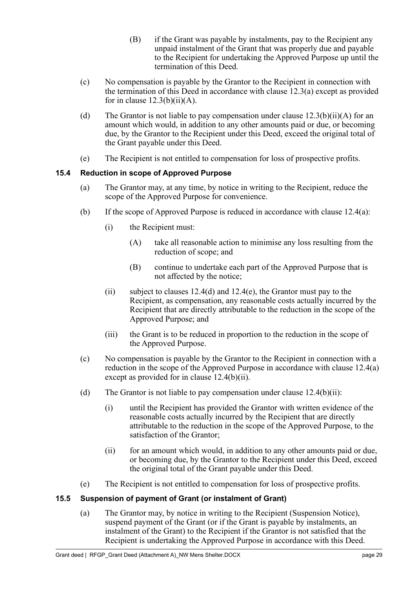- (B) if the Grant was payable by instalments, pay to the Recipient any unpaid instalment of the Grant that was properly due and payable to the Recipient for undertaking the Approved Purpose up until the termination of this Deed.
- (c) No compensation is payable by the Grantor to the Recipient in connection with the termination of this Deed in accordance with clause 12.3(a) except as provided for in clause  $12.3(b)(ii)(A)$ .
- (d) The Grantor is not liable to pay compensation under clause  $12.3(b)(ii)(A)$  for an amount which would, in addition to any other amounts paid or due, or becoming due, by the Grantor to the Recipient under this Deed, exceed the original total of the Grant payable under this Deed.
- (e) The Recipient is not entitled to compensation for loss of prospective profits.

#### <span id="page-33-0"></span>**15.4 Reduction in scope of Approved Purpose**

- (a) The Grantor may, at any time, by notice in writing to the Recipient, reduce the scope of the Approved Purpose for convenience.
- (b) If the scope of Approved Purpose is reduced in accordance with clause 12.4(a):
	- (i) the Recipient must:
		- (A) take all reasonable action to minimise any loss resulting from the reduction of scope; and
		- (B) continue to undertake each part of the Approved Purpose that is not affected by the notice;
	- (ii) subject to clauses  $12.4(d)$  and  $12.4(e)$ , the Grantor must pay to the Recipient, as compensation, any reasonable costs actually incurred by the Recipient that are directly attributable to the reduction in the scope of the Approved Purpose; and
	- (iii) the Grant is to be reduced in proportion to the reduction in the scope of the Approved Purpose.
- (c) No compensation is payable by the Grantor to the Recipient in connection with a reduction in the scope of the Approved Purpose in accordance with clause 12.4(a) except as provided for in clause 12.4(b)(ii).
- (d) The Grantor is not liable to pay compensation under clause  $12.4(b)(ii)$ :
	- (i) until the Recipient has provided the Grantor with written evidence of the reasonable costs actually incurred by the Recipient that are directly attributable to the reduction in the scope of the Approved Purpose, to the satisfaction of the Grantor;
	- (ii) for an amount which would, in addition to any other amounts paid or due, or becoming due, by the Grantor to the Recipient under this Deed, exceed the original total of the Grant payable under this Deed.
- (e) The Recipient is not entitled to compensation for loss of prospective profits.

### <span id="page-33-1"></span>**15.5 Suspension of payment of Grant (or instalment of Grant)**

(a) The Grantor may, by notice in writing to the Recipient (Suspension Notice), suspend payment of the Grant (or if the Grant is payable by instalments, an instalment of the Grant) to the Recipient if the Grantor is not satisfied that the Recipient is undertaking the Approved Purpose in accordance with this Deed.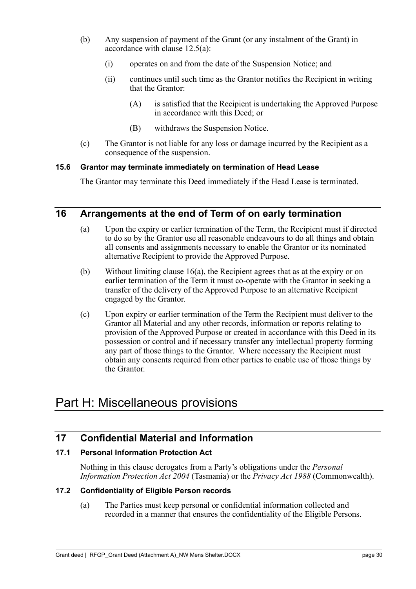- (b) Any suspension of payment of the Grant (or any instalment of the Grant) in accordance with clause 12.5(a):
	- (i) operates on and from the date of the Suspension Notice; and
	- (ii) continues until such time as the Grantor notifies the Recipient in writing that the Grantor:
		- (A) is satisfied that the Recipient is undertaking the Approved Purpose in accordance with this Deed; or
		- (B) withdraws the Suspension Notice.
- (c) The Grantor is not liable for any loss or damage incurred by the Recipient as a consequence of the suspension.

#### <span id="page-34-0"></span>**15.6 Grantor may terminate immediately on termination of Head Lease**

The Grantor may terminate this Deed immediately if the Head Lease is terminated.

## <span id="page-34-7"></span><span id="page-34-6"></span><span id="page-34-1"></span>**16 Arrangements at the end of Term of on early termination**

- (a) Upon the expiry or earlier termination of the Term, the Recipient must if directed to do so by the Grantor use all reasonable endeavours to do all things and obtain all consents and assignments necessary to enable the Grantor or its nominated alternative Recipient to provide the Approved Purpose.
- (b) Without limiting clause [16](#page-34-6)[\(a\),](#page-34-7) the Recipient agrees that as at the expiry or on earlier termination of the Term it must co-operate with the Grantor in seeking a transfer of the delivery of the Approved Purpose to an alternative Recipient engaged by the Grantor.
- (c) Upon expiry or earlier termination of the Term the Recipient must deliver to the Grantor all Material and any other records, information or reports relating to provision of the Approved Purpose or created in accordance with this Deed in its possession or control and if necessary transfer any intellectual property forming any part of those things to the Grantor. Where necessary the Recipient must obtain any consents required from other parties to enable use of those things by the Grantor.

## <span id="page-34-2"></span>Part H: Miscellaneous provisions

## <span id="page-34-3"></span>**17 Confidential Material and Information**

### <span id="page-34-4"></span>**17.1 Personal Information Protection Act**

Nothing in this clause derogates from a Party's obligations under the *Personal Information Protection Act 2004* (Tasmania) or the *Privacy Act 1988* (Commonwealth).

#### <span id="page-34-5"></span>**17.2 Confidentiality of Eligible Person records**

(a) The Parties must keep personal or confidential information collected and recorded in a manner that ensures the confidentiality of the Eligible Persons.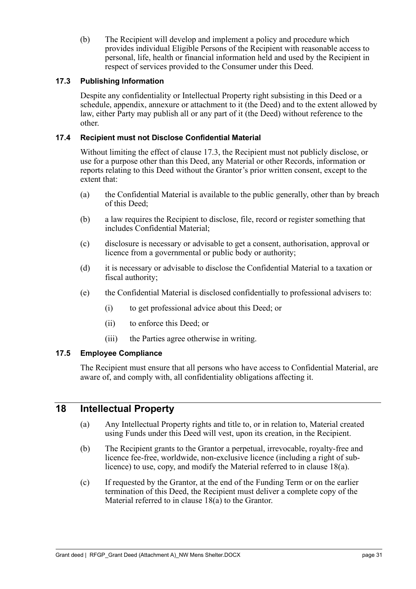(b) The Recipient will develop and implement a policy and procedure which provides individual Eligible Persons of the Recipient with reasonable access to personal, life, health or financial information held and used by the Recipient in respect of services provided to the Consumer under this Deed.

#### <span id="page-35-4"></span><span id="page-35-0"></span>**17.3 Publishing Information**

Despite any confidentiality or Intellectual Property right subsisting in this Deed or a schedule, appendix, annexure or attachment to it (the Deed) and to the extent allowed by law, either Party may publish all or any part of it (the Deed) without reference to the other.

#### <span id="page-35-1"></span>**17.4 Recipient must not Disclose Confidential Material**

Without limiting the effect of clause [17.3,](#page-35-4) the Recipient must not publicly disclose, or use for a purpose other than this Deed, any Material or other Records, information or reports relating to this Deed without the Grantor's prior written consent, except to the extent that:

- (a) the Confidential Material is available to the public generally, other than by breach of this Deed;
- (b) a law requires the Recipient to disclose, file, record or register something that includes Confidential Material;
- (c) disclosure is necessary or advisable to get a consent, authorisation, approval or licence from a governmental or public body or authority;
- (d) it is necessary or advisable to disclose the Confidential Material to a taxation or fiscal authority;
- (e) the Confidential Material is disclosed confidentially to professional advisers to:
	- (i) to get professional advice about this Deed; or
	- (ii) to enforce this Deed; or
	- (iii) the Parties agree otherwise in writing.

#### <span id="page-35-2"></span>**17.5 Employee Compliance**

The Recipient must ensure that all persons who have access to Confidential Material, are aware of, and comply with, all confidentiality obligations affecting it.

### <span id="page-35-3"></span>**18 Intellectual Property**

- (a) Any Intellectual Property rights and title to, or in relation to, Material created using Funds under this Deed will vest, upon its creation, in the Recipient.
- (b) The Recipient grants to the Grantor a perpetual, irrevocable, royalty-free and licence fee-free, worldwide, non-exclusive licence (including a right of sublicence) to use, copy, and modify the Material referred to in clause 18(a).
- (c) If requested by the Grantor, at the end of the Funding Term or on the earlier termination of this Deed, the Recipient must deliver a complete copy of the Material referred to in clause 18(a) to the Grantor.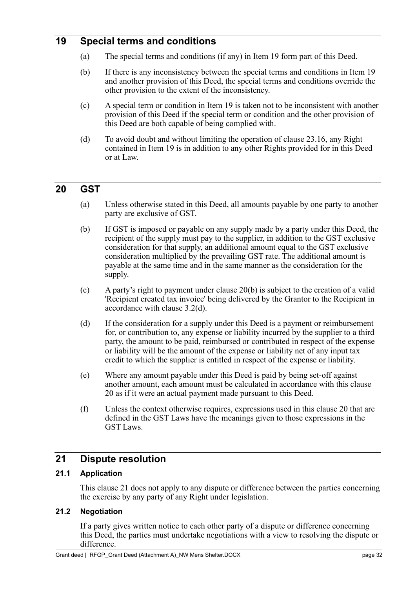## <span id="page-36-0"></span>**19 Special terms and conditions**

- (a) The special terms and conditions (if any) in Item 19 form part of this Deed.
- (b) If there is any inconsistency between the special terms and conditions in Item 19 and another provision of this Deed, the special terms and conditions override the other provision to the extent of the inconsistency.
- (c) A special term or condition in Item 19 is taken not to be inconsistent with another provision of this Deed if the special term or condition and the other provision of this Deed are both capable of being complied with.
- (d) To avoid doubt and without limiting the operation of clause [23.16,](#page-40-8) any Right contained in Item 19 is in addition to any other Rights provided for in this Deed or at Law.

## <span id="page-36-5"></span><span id="page-36-1"></span>**20 GST**

- (a) Unless otherwise stated in this Deed, all amounts payable by one party to another party are exclusive of GST.
- <span id="page-36-6"></span>(b) If GST is imposed or payable on any supply made by a party under this Deed, the recipient of the supply must pay to the supplier, in addition to the GST exclusive consideration for that supply, an additional amount equal to the GST exclusive consideration multiplied by the prevailing GST rate. The additional amount is payable at the same time and in the same manner as the consideration for the supply.
- (c) A party's right to payment under clause [20](#page-36-5)[\(b\)](#page-36-6) is subject to the creation of a valid 'Recipient created tax invoice' being delivered by the Grantor to the Recipient in accordance with clause [3.2\(d\).](#page-16-5)
- (d) If the consideration for a supply under this Deed is a payment or reimbursement for, or contribution to, any expense or liability incurred by the supplier to a third party, the amount to be paid, reimbursed or contributed in respect of the expense or liability will be the amount of the expense or liability net of any input tax credit to which the supplier is entitled in respect of the expense or liability.
- (e) Where any amount payable under this Deed is paid by being set-off against another amount, each amount must be calculated in accordance with this clause [20](#page-36-5) as if it were an actual payment made pursuant to this Deed.
- (f) Unless the context otherwise requires, expressions used in this clause [20](#page-36-5) that are defined in the GST Laws have the meanings given to those expressions in the GST Laws.

## <span id="page-36-7"></span><span id="page-36-2"></span>**21 Dispute resolution**

#### <span id="page-36-3"></span>**21.1 Application**

This clause [21](#page-36-7) does not apply to any dispute or difference between the parties concerning the exercise by any party of any Right under legislation.

#### <span id="page-36-8"></span><span id="page-36-4"></span>**21.2 Negotiation**

If a party gives written notice to each other party of a dispute or difference concerning this Deed, the parties must undertake negotiations with a view to resolving the dispute or difference.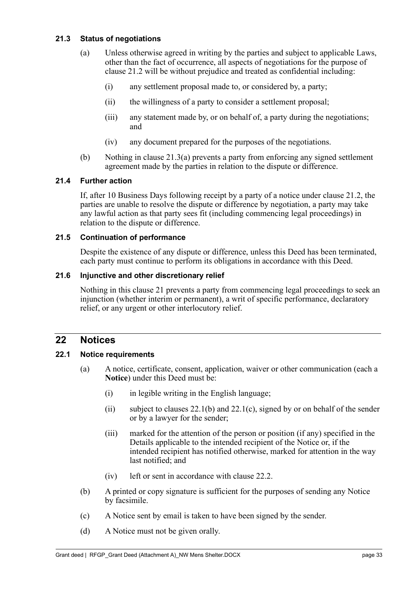#### <span id="page-37-7"></span><span id="page-37-6"></span><span id="page-37-0"></span>**21.3 Status of negotiations**

- (a) Unless otherwise agreed in writing by the parties and subject to applicable Laws, other than the fact of occurrence, all aspects of negotiations for the purpose of clause [21.2](#page-36-8) will be without prejudice and treated as confidential including:
	- (i) any settlement proposal made to, or considered by, a party;
	- (ii) the willingness of a party to consider a settlement proposal;
	- (iii) any statement made by, or on behalf of, a party during the negotiations; and
	- (iv) any document prepared for the purposes of the negotiations.
- (b) Nothing in clause [21.3](#page-37-6)[\(a\)](#page-37-7) prevents a party from enforcing any signed settlement agreement made by the parties in relation to the dispute or difference.

#### <span id="page-37-1"></span>**21.4 Further action**

If, after 10 Business Days following receipt by a party of a notice under clause [21.2,](#page-36-8) the parties are unable to resolve the dispute or difference by negotiation, a party may take any lawful action as that party sees fit (including commencing legal proceedings) in relation to the dispute or difference.

#### <span id="page-37-2"></span>**21.5 Continuation of performance**

Despite the existence of any dispute or difference, unless this Deed has been terminated, each party must continue to perform its obligations in accordance with this Deed.

#### <span id="page-37-3"></span>**21.6 Injunctive and other discretionary relief**

Nothing in this clause [21](#page-36-7) prevents a party from commencing legal proceedings to seek an injunction (whether interim or permanent), a writ of specific performance, declaratory relief, or any urgent or other interlocutory relief.

#### <span id="page-37-4"></span>**22 Notices**

#### <span id="page-37-8"></span><span id="page-37-5"></span>**22.1 Notice requirements**

- (a) A notice, certificate, consent, application, waiver or other communication (each a **Notice**) under this Deed must be:
	- (i) in legible writing in the English language;
	- (ii) subject to clauses  $22.1(b)$  $22.1(b)$  and  $22.1(c)$ , signed by or on behalf of the sender or by a lawyer for the sender;
	- (iii) marked for the attention of the person or position (if any) specified in the Details applicable to the intended recipient of the Notice or, if the intended recipient has notified otherwise, marked for attention in the way last notified; and
	- (iv) left or sent in accordance with clause [22.2.](#page-38-5)
- <span id="page-37-9"></span>(b) A printed or copy signature is sufficient for the purposes of sending any Notice by facsimile.
- <span id="page-37-10"></span>(c) A Notice sent by email is taken to have been signed by the sender.
- (d) A Notice must not be given orally.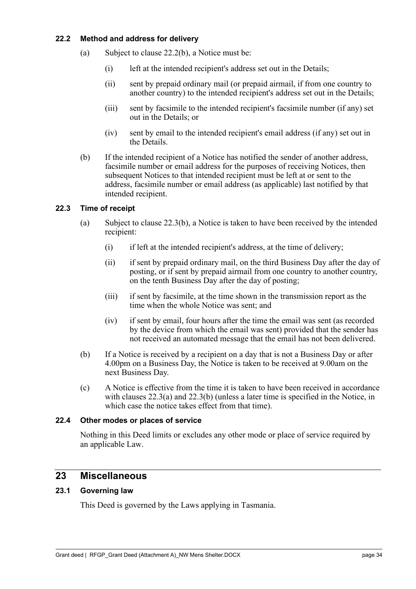#### <span id="page-38-5"></span><span id="page-38-0"></span>**22.2 Method and address for delivery**

- (a) Subject to clause [22.2](#page-38-5)[\(b\),](#page-38-6) a Notice must be:
	- (i) left at the intended recipient's address set out in the Details;
	- (ii) sent by prepaid ordinary mail (or prepaid airmail, if from one country to another country) to the intended recipient's address set out in the Details;
	- (iii) sent by facsimile to the intended recipient's facsimile number (if any) set out in the Details; or
	- (iv) sent by email to the intended recipient's email address (if any) set out in the Details.
- <span id="page-38-6"></span>(b) If the intended recipient of a Notice has notified the sender of another address, facsimile number or email address for the purposes of receiving Notices, then subsequent Notices to that intended recipient must be left at or sent to the address, facsimile number or email address (as applicable) last notified by that intended recipient.

#### <span id="page-38-9"></span><span id="page-38-7"></span><span id="page-38-1"></span>**22.3 Time of receipt**

- (a) Subject to clause [22.3](#page-38-7)[\(b\),](#page-38-8) a Notice is taken to have been received by the intended recipient:
	- (i) if left at the intended recipient's address, at the time of delivery;
	- (ii) if sent by prepaid ordinary mail, on the third Business Day after the day of posting, or if sent by prepaid airmail from one country to another country, on the tenth Business Day after the day of posting;
	- (iii) if sent by facsimile, at the time shown in the transmission report as the time when the whole Notice was sent; and
	- (iv) if sent by email, four hours after the time the email was sent (as recorded by the device from which the email was sent) provided that the sender has not received an automated message that the email has not been delivered.
- <span id="page-38-8"></span>(b) If a Notice is received by a recipient on a day that is not a Business Day or after 4.00pm on a Business Day, the Notice is taken to be received at 9.00am on the next Business Day.
- (c) A Notice is effective from the time it is taken to have been received in accordance with clauses [22.3](#page-38-7)[\(a\)](#page-38-9) and [22.3](#page-38-7)[\(b\)](#page-38-8) (unless a later time is specified in the Notice, in which case the notice takes effect from that time).

#### <span id="page-38-2"></span>**22.4 Other modes or places of service**

Nothing in this Deed limits or excludes any other mode or place of service required by an applicable Law.

## <span id="page-38-3"></span>**23 Miscellaneous**

#### <span id="page-38-4"></span>**23.1 Governing law**

This Deed is governed by the Laws applying in Tasmania.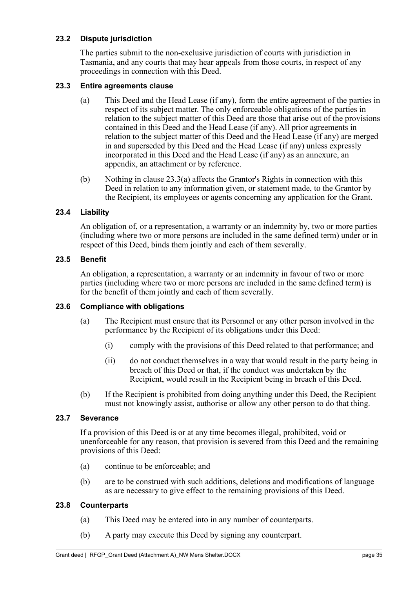#### <span id="page-39-0"></span>**23.2 Dispute jurisdiction**

The parties submit to the non-exclusive jurisdiction of courts with jurisdiction in Tasmania, and any courts that may hear appeals from those courts, in respect of any proceedings in connection with this Deed.

#### <span id="page-39-8"></span><span id="page-39-7"></span><span id="page-39-1"></span>**23.3 Entire agreements clause**

- (a) This Deed and the Head Lease (if any), form the entire agreement of the parties in respect of its subject matter. The only enforceable obligations of the parties in relation to the subject matter of this Deed are those that arise out of the provisions contained in this Deed and the Head Lease (if any). All prior agreements in relation to the subject matter of this Deed and the Head Lease (if any) are merged in and superseded by this Deed and the Head Lease (if any) unless expressly incorporated in this Deed and the Head Lease (if any) as an annexure, an appendix, an attachment or by reference.
- (b) Nothing in clause [23.3](#page-39-7)[\(a\)](#page-39-8) affects the Grantor's Rights in connection with this Deed in relation to any information given, or statement made, to the Grantor by the Recipient, its employees or agents concerning any application for the Grant.

#### <span id="page-39-2"></span>**23.4 Liability**

An obligation of, or a representation, a warranty or an indemnity by, two or more parties (including where two or more persons are included in the same defined term) under or in respect of this Deed, binds them jointly and each of them severally.

#### <span id="page-39-3"></span>**23.5 Benefit**

An obligation, a representation, a warranty or an indemnity in favour of two or more parties (including where two or more persons are included in the same defined term) is for the benefit of them jointly and each of them severally.

#### <span id="page-39-4"></span>**23.6 Compliance with obligations**

- (a) The Recipient must ensure that its Personnel or any other person involved in the performance by the Recipient of its obligations under this Deed:
	- (i) comply with the provisions of this Deed related to that performance; and
	- (ii) do not conduct themselves in a way that would result in the party being in breach of this Deed or that, if the conduct was undertaken by the Recipient, would result in the Recipient being in breach of this Deed.
- (b) If the Recipient is prohibited from doing anything under this Deed, the Recipient must not knowingly assist, authorise or allow any other person to do that thing.

#### <span id="page-39-5"></span>**23.7 Severance**

If a provision of this Deed is or at any time becomes illegal, prohibited, void or unenforceable for any reason, that provision is severed from this Deed and the remaining provisions of this Deed:

- (a) continue to be enforceable; and
- (b) are to be construed with such additions, deletions and modifications of language as are necessary to give effect to the remaining provisions of this Deed.

#### <span id="page-39-6"></span>**23.8 Counterparts**

- (a) This Deed may be entered into in any number of counterparts.
- (b) A party may execute this Deed by signing any counterpart.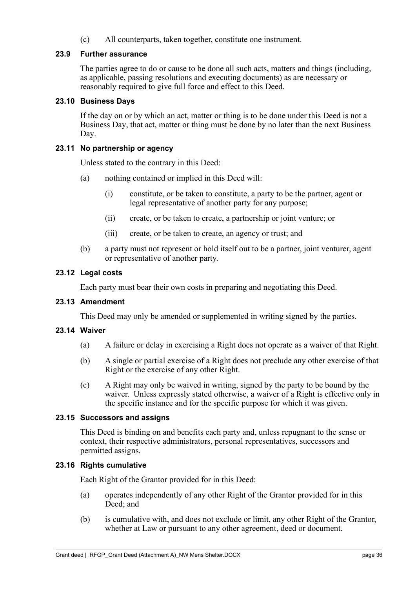(c) All counterparts, taken together, constitute one instrument.

#### <span id="page-40-0"></span>**23.9 Further assurance**

The parties agree to do or cause to be done all such acts, matters and things (including, as applicable, passing resolutions and executing documents) as are necessary or reasonably required to give full force and effect to this Deed.

#### <span id="page-40-1"></span>**23.10 Business Days**

If the day on or by which an act, matter or thing is to be done under this Deed is not a Business Day, that act, matter or thing must be done by no later than the next Business Day.

#### <span id="page-40-2"></span>**23.11 No partnership or agency**

Unless stated to the contrary in this Deed:

- (a) nothing contained or implied in this Deed will:
	- (i) constitute, or be taken to constitute, a party to be the partner, agent or legal representative of another party for any purpose;
	- (ii) create, or be taken to create, a partnership or joint venture; or
	- (iii) create, or be taken to create, an agency or trust; and
- (b) a party must not represent or hold itself out to be a partner, joint venturer, agent or representative of another party.

#### <span id="page-40-3"></span>**23.12 Legal costs**

Each party must bear their own costs in preparing and negotiating this Deed.

#### <span id="page-40-4"></span>**23.13 Amendment**

This Deed may only be amended or supplemented in writing signed by the parties.

#### <span id="page-40-5"></span>**23.14 Waiver**

- (a) A failure or delay in exercising a Right does not operate as a waiver of that Right.
- (b) A single or partial exercise of a Right does not preclude any other exercise of that Right or the exercise of any other Right.
- (c) A Right may only be waived in writing, signed by the party to be bound by the waiver. Unless expressly stated otherwise, a waiver of a Right is effective only in the specific instance and for the specific purpose for which it was given.

#### <span id="page-40-6"></span>**23.15 Successors and assigns**

This Deed is binding on and benefits each party and, unless repugnant to the sense or context, their respective administrators, personal representatives, successors and permitted assigns.

#### <span id="page-40-8"></span><span id="page-40-7"></span>**23.16 Rights cumulative**

Each Right of the Grantor provided for in this Deed:

- (a) operates independently of any other Right of the Grantor provided for in this Deed; and
- (b) is cumulative with, and does not exclude or limit, any other Right of the Grantor, whether at Law or pursuant to any other agreement, deed or document.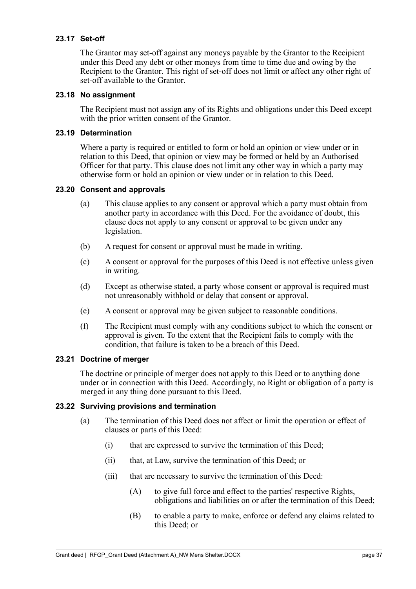#### <span id="page-41-0"></span>**23.17 Set-off**

The Grantor may set-off against any moneys payable by the Grantor to the Recipient under this Deed any debt or other moneys from time to time due and owing by the Recipient to the Grantor. This right of set-off does not limit or affect any other right of set-off available to the Grantor.

#### <span id="page-41-1"></span>**23.18 No assignment**

The Recipient must not assign any of its Rights and obligations under this Deed except with the prior written consent of the Grantor.

#### <span id="page-41-2"></span>**23.19 Determination**

Where a party is required or entitled to form or hold an opinion or view under or in relation to this Deed, that opinion or view may be formed or held by an Authorised Officer for that party. This clause does not limit any other way in which a party may otherwise form or hold an opinion or view under or in relation to this Deed.

#### <span id="page-41-3"></span>**23.20 Consent and approvals**

- (a) This clause applies to any consent or approval which a party must obtain from another party in accordance with this Deed. For the avoidance of doubt, this clause does not apply to any consent or approval to be given under any legislation.
- (b) A request for consent or approval must be made in writing.
- (c) A consent or approval for the purposes of this Deed is not effective unless given in writing.
- (d) Except as otherwise stated, a party whose consent or approval is required must not unreasonably withhold or delay that consent or approval.
- (e) A consent or approval may be given subject to reasonable conditions.
- (f) The Recipient must comply with any conditions subject to which the consent or approval is given. To the extent that the Recipient fails to comply with the condition, that failure is taken to be a breach of this Deed.

#### <span id="page-41-4"></span>**23.21 Doctrine of merger**

The doctrine or principle of merger does not apply to this Deed or to anything done under or in connection with this Deed. Accordingly, no Right or obligation of a party is merged in any thing done pursuant to this Deed.

#### <span id="page-41-6"></span><span id="page-41-5"></span>**23.22 Surviving provisions and termination**

- (a) The termination of this Deed does not affect or limit the operation or effect of clauses or parts of this Deed:
	- (i) that are expressed to survive the termination of this Deed;
	- (ii) that, at Law, survive the termination of this Deed; or
	- (iii) that are necessary to survive the termination of this Deed:
		- (A) to give full force and effect to the parties' respective Rights, obligations and liabilities on or after the termination of this Deed;
		- (B) to enable a party to make, enforce or defend any claims related to this Deed; or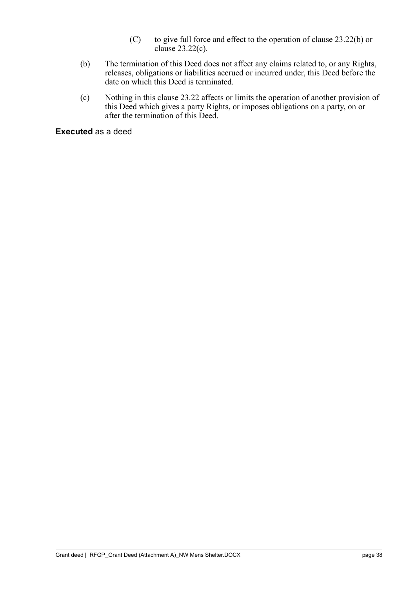- (C) to give full force and effect to the operation of clause [23.22](#page-41-6)[\(b\)](#page-42-0) or clause [23.22](#page-41-6)[\(c\).](#page-42-1)
- <span id="page-42-0"></span>(b) The termination of this Deed does not affect any claims related to, or any Rights, releases, obligations or liabilities accrued or incurred under, this Deed before the date on which this Deed is terminated.
- <span id="page-42-1"></span>(c) Nothing in this clause [23.22](#page-41-6) affects or limits the operation of another provision of this Deed which gives a party Rights, or imposes obligations on a party, on or after the termination of this Deed.

**Executed** as a deed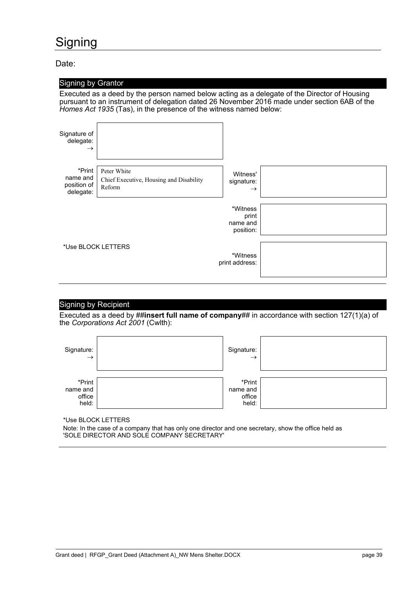## <span id="page-43-0"></span>**Signing**

Date:

|                                                                                                                                                                                                                                                                   | <b>Signing by Grantor</b>                                        |                                            |  |  |  |  |
|-------------------------------------------------------------------------------------------------------------------------------------------------------------------------------------------------------------------------------------------------------------------|------------------------------------------------------------------|--------------------------------------------|--|--|--|--|
| Executed as a deed by the person named below acting as a delegate of the Director of Housing<br>pursuant to an instrument of delegation dated 26 November 2016 made under section 6AB of the<br>Homes Act 1935 (Tas), in the presence of the witness named below: |                                                                  |                                            |  |  |  |  |
| Signature of<br>delegate:<br>$\rightarrow$                                                                                                                                                                                                                        |                                                                  |                                            |  |  |  |  |
| *Print<br>name and<br>position of<br>delegate:                                                                                                                                                                                                                    | Peter White<br>Chief Executive, Housing and Disability<br>Reform | Witness'<br>signature:<br>$\rightarrow$    |  |  |  |  |
|                                                                                                                                                                                                                                                                   |                                                                  | *Witness<br>print<br>name and<br>position: |  |  |  |  |
| *Use BLOCK LETTERS<br>*Witness<br>print address:                                                                                                                                                                                                                  |                                                                  |                                            |  |  |  |  |

### Signing by Recipient

Executed as a deed by ##**insert full name of company**## in accordance with section 127(1)(a) of the *Corporations Act 2001* (Cwlth):

| Signature:<br>$\rightarrow$           | Signature:<br>$\rightarrow$           |  |
|---------------------------------------|---------------------------------------|--|
| *Print<br>name and<br>office<br>held: | *Print<br>name and<br>office<br>held: |  |

\*Use BLOCK LETTERS

Note: In the case of a company that has only one director and one secretary, show the office held as 'SOLE DIRECTOR AND SOLE COMPANY SECRETARY'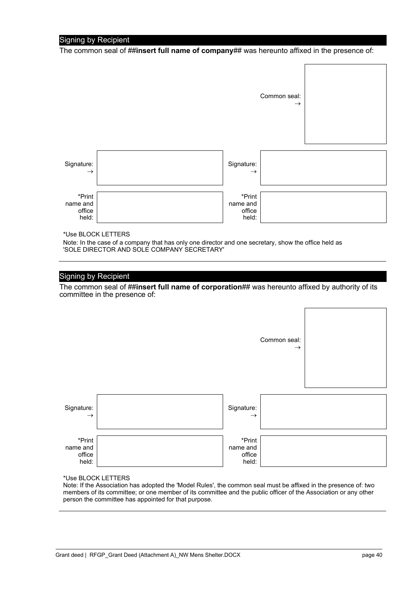#### Signing by Recipient

The common seal of ##**insert full name of company**## was hereunto affixed in the presence of:

 $\Gamma$ 

 $\Gamma$ 

٦

 $\overline{\phantom{0}}$ 

|                                       |                                       | Common seal:<br>$\rightarrow$ |  |
|---------------------------------------|---------------------------------------|-------------------------------|--|
| Signature:<br>$\rightarrow$           | Signature:<br>$\rightarrow$           |                               |  |
| *Print<br>name and<br>office<br>held: | *Print<br>name and<br>office<br>held: |                               |  |

\*Use BLOCK LETTERS

Note: In the case of a company that has only one director and one secretary, show the office held as 'SOLE DIRECTOR AND SOLE COMPANY SECRETARY'

#### Signing by Recipient

The common seal of **##insert full name of corporation**## was hereunto affixed by authority of its committee in the presence of:

|                                       |                                       | Common seal:<br>$\rightarrow$ |  |
|---------------------------------------|---------------------------------------|-------------------------------|--|
| Signature:<br>$\rightarrow$           | Signature:<br>$\rightarrow$           |                               |  |
| *Print<br>name and<br>office<br>held: | *Print<br>name and<br>office<br>held: |                               |  |

\*Use BLOCK LETTERS

Note: If the Association has adopted the 'Model Rules', the common seal must be affixed in the presence of: two members of its committee; or one member of its committee and the public officer of the Association or any other person the committee has appointed for that purpose.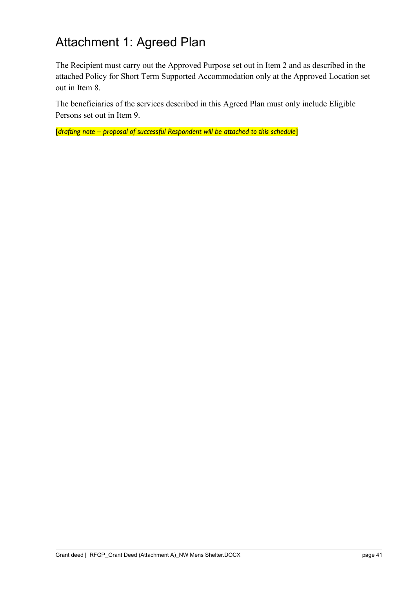# <span id="page-45-0"></span>Attachment 1: Agreed Plan

The Recipient must carry out the Approved Purpose set out in Item 2 and as described in the attached Policy for Short Term Supported Accommodation only at the Approved Location set out in Item 8.

The beneficiaries of the services described in this Agreed Plan must only include Eligible Persons set out in Item 9.

[*drafting note – proposal of successful Respondent will be attached to this schedule*]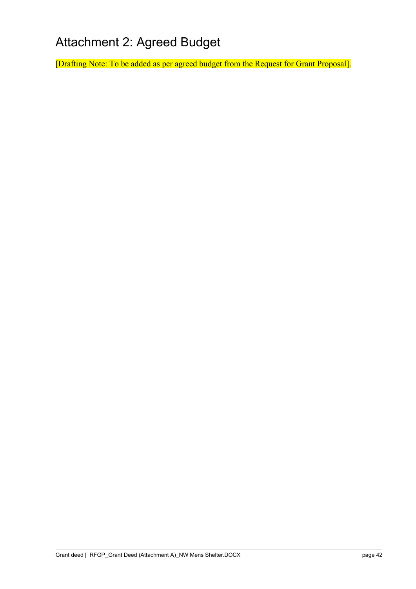<span id="page-46-0"></span>[Drafting Note: To be added as per agreed budget from the Request for Grant Proposal].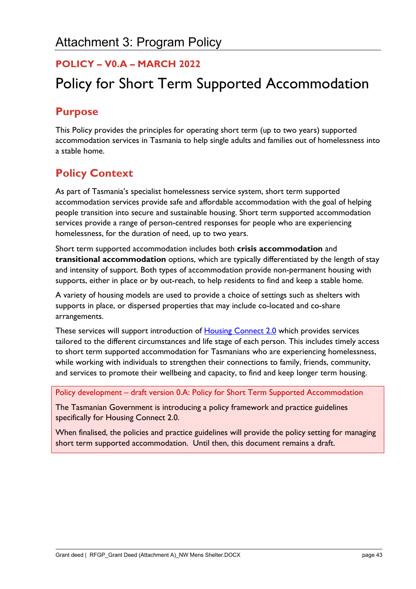## <span id="page-47-0"></span>**POLICY – V0.A – MARCH 2022**

# Policy for Short Term Supported Accommodation

## **Purpose**

This Policy provides the principles for operating short term (up to two years) supported accommodation services in Tasmania to help single adults and families out of homelessness into a stable home.

## **Policy Context**

As part of Tasmania's specialist homelessness service system, short term supported accommodation services provide safe and affordable accommodation with the goal of helping people transition into secure and sustainable housing. Short term supported accommodation services provide a range of person-centred responses for people who are experiencing homelessness, for the duration of need, up to two years.

Short term supported accommodation includes both **crisis accommodation** and **transitional accommodation** options, which are typically differentiated by the length of stay and intensity of support. Both types of accommodation provide non-permanent housing with supports, either in place or by out-reach, to help residents to find and keep a stable home.

A variety of housing models are used to provide a choice of settings such as shelters with supports in place, or dispersed properties that may include co-located and co-share arrangements.

These services will support introduction of **[Housing Connect 2.0](https://www.communities.tas.gov.au/housing/housing-connect/housing-connect-2.0)** which provides services tailored to the different circumstances and life stage of each person. This includes timely access to short term supported accommodation for Tasmanians who are experiencing homelessness, while working with individuals to strengthen their connections to family, friends, community, and services to promote their wellbeing and capacity, to find and keep longer term housing.

#### Policy development – draft version 0.A: Policy for Short Term Supported Accommodation

The Tasmanian Government is introducing a policy framework and practice guidelines specifically for Housing Connect 2.0.

When finalised, the policies and practice guidelines will provide the policy setting for managing short term supported accommodation. Until then, this document remains a draft.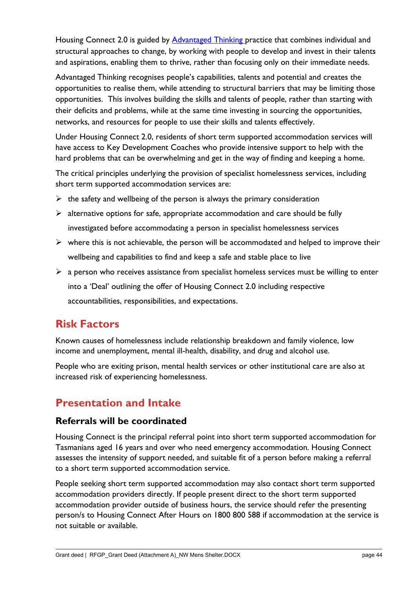Housing Connect 2.0 is guided by [Advantaged Thinking](https://www.efyfoyers.org.au/background/theoretical-framework/) practice that combines individual and structural approaches to change, by working with people to develop and invest in their talents and aspirations, enabling them to thrive, rather than focusing only on their immediate needs.

Advantaged Thinking recognises people's capabilities, talents and potential and creates the opportunities to realise them, while attending to structural barriers that may be limiting those opportunities. This involves building the skills and talents of people, rather than starting with their deficits and problems, while at the same time investing in sourcing the opportunities, networks, and resources for people to use their skills and talents effectively.

Under Housing Connect 2.0, residents of short term supported accommodation services will have access to Key Development Coaches who provide intensive support to help with the hard problems that can be overwhelming and get in the way of finding and keeping a home.

The critical principles underlying the provision of specialist homelessness services, including short term supported accommodation services are:

- $\triangleright$  the safety and wellbeing of the person is always the primary consideration
- $\triangleright$  alternative options for safe, appropriate accommodation and care should be fully investigated before accommodating a person in specialist homelessness services
- $\triangleright$  where this is not achievable, the person will be accommodated and helped to improve their wellbeing and capabilities to find and keep a safe and stable place to live
- $\triangleright$  a person who receives assistance from specialist homeless services must be willing to enter into a 'Deal' outlining the offer of Housing Connect 2.0 including respective accountabilities, responsibilities, and expectations.

## **Risk Factors**

Known causes of homelessness include relationship breakdown and family violence, low income and unemployment, mental ill-health, disability, and drug and alcohol use.

People who are exiting prison, mental health services or other institutional care are also at increased risk of experiencing homelessness.

## **Presentation and Intake**

## **Referrals will be coordinated**

Housing Connect is the principal referral point into short term supported accommodation for Tasmanians aged 16 years and over who need emergency accommodation. Housing Connect assesses the intensity of support needed, and suitable fit of a person before making a referral to a short term supported accommodation service.

People seeking short term supported accommodation may also contact short term supported accommodation providers directly. If people present direct to the short term supported accommodation provider outside of business hours, the service should refer the presenting person/s to Housing Connect After Hours on 1800 800 588 if accommodation at the service is not suitable or available.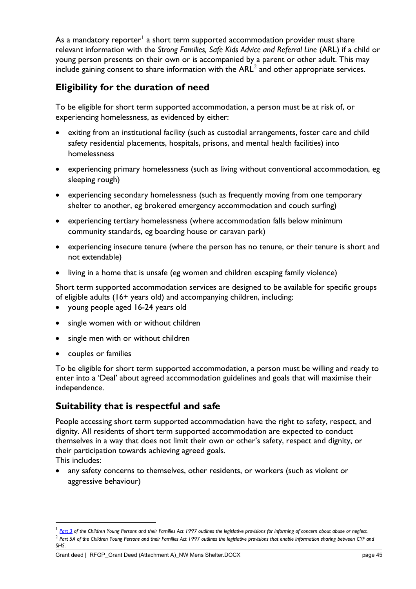As a mandatory reporter<sup>[1](#page-49-0)</sup> a short term supported accommodation provider must share relevant information with the *Strong Families, Safe Kids Advice and Referral Line* (ARL) if a child or young person presents on their own or is accompanied by a parent or other adult. This may include gaining consent to share information with the  $ARL<sup>2</sup>$  $ARL<sup>2</sup>$  $ARL<sup>2</sup>$  and other appropriate services.

## **Eligibility for the duration of need**

To be eligible for short term supported accommodation, a person must be at risk of, or experiencing homelessness, as evidenced by either:

- exiting from an institutional facility (such as custodial arrangements, foster care and child safety residential placements, hospitals, prisons, and mental health facilities) into homelessness
- experiencing primary homelessness (such as living without conventional accommodation, eg sleeping rough)
- experiencing secondary homelessness (such as frequently moving from one temporary shelter to another, eg brokered emergency accommodation and couch surfing)
- experiencing tertiary homelessness (where accommodation falls below minimum community standards, eg boarding house or caravan park)
- experiencing insecure tenure (where the person has no tenure, or their tenure is short and not extendable)
- living in a home that is unsafe (eg women and children escaping family violence)

Short term supported accommodation services are designed to be available for specific groups of eligible adults (16+ years old) and accompanying children, including:

- young people aged 16-24 years old
- single women with or without children
- single men with or without children
- couples or families

To be eligible for short term supported accommodation, a person must be willing and ready to enter into a 'Deal' about agreed accommodation guidelines and goals that will maximise their independence.

## **Suitability that is respectful and safe**

People accessing short term supported accommodation have the right to safety, respect, and dignity. All residents of short term supported accommodation are expected to conduct themselves in a way that does not limit their own or other's safety, respect and dignity, or their participation towards achieving agreed goals. This includes:

• any safety concerns to themselves, other residents, or workers (such as violent or aggressive behaviour)

<span id="page-49-1"></span><span id="page-49-0"></span><sup>&</sup>lt;sup>1</sup> [Part 3](https://www.legislation.tas.gov.au/view/whole/html/inforce/current/act-1997-028) of the Children Young Persons and their Families Act 1997 outlines the legislative provisions for informing of concern about abuse or neglect. <sup>2</sup> *Part 5A of the Children Young Persons and their Families Act 1997 outlines the legislative provisions that enable information sharing between CYF and SHS.*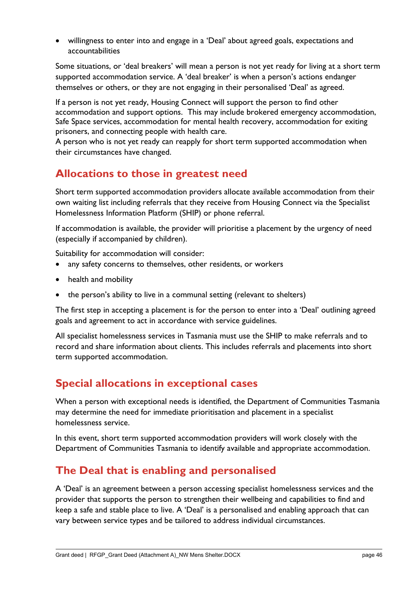• willingness to enter into and engage in a 'Deal' about agreed goals, expectations and accountabilities

Some situations, or 'deal breakers' will mean a person is not yet ready for living at a short term supported accommodation service. A 'deal breaker' is when a person's actions endanger themselves or others, or they are not engaging in their personalised 'Deal' as agreed.

If a person is not yet ready, Housing Connect will support the person to find other accommodation and support options. This may include brokered emergency accommodation, Safe Space services, accommodation for mental health recovery, accommodation for exiting prisoners, and connecting people with health care.

A person who is not yet ready can reapply for short term supported accommodation when their circumstances have changed.

## **Allocations to those in greatest need**

Short term supported accommodation providers allocate available accommodation from their own waiting list including referrals that they receive from Housing Connect via the Specialist Homelessness Information Platform (SHIP) or phone referral.

If accommodation is available, the provider will prioritise a placement by the urgency of need (especially if accompanied by children).

Suitability for accommodation will consider:

- any safety concerns to themselves, other residents, or workers
- health and mobility
- the person's ability to live in a communal setting (relevant to shelters)

The first step in accepting a placement is for the person to enter into a 'Deal' outlining agreed goals and agreement to act in accordance with service guidelines.

All specialist homelessness services in Tasmania must use the SHIP to make referrals and to record and share information about clients. This includes referrals and placements into short term supported accommodation.

## **Special allocations in exceptional cases**

When a person with exceptional needs is identified, the Department of Communities Tasmania may determine the need for immediate prioritisation and placement in a specialist homelessness service.

In this event, short term supported accommodation providers will work closely with the Department of Communities Tasmania to identify available and appropriate accommodation.

## **The Deal that is enabling and personalised**

A 'Deal' is an agreement between a person accessing specialist homelessness services and the provider that supports the person to strengthen their wellbeing and capabilities to find and keep a safe and stable place to live. A 'Deal' is a personalised and enabling approach that can vary between service types and be tailored to address individual circumstances.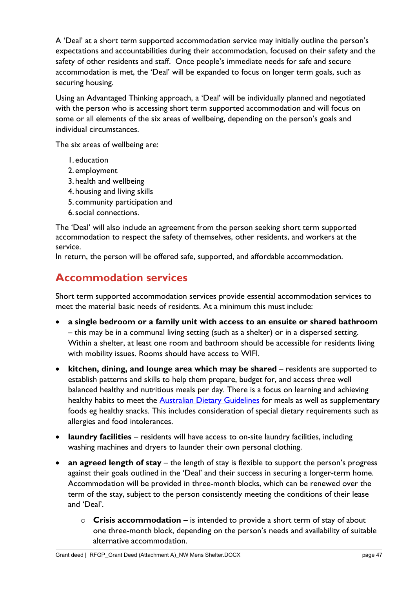A 'Deal' at a short term supported accommodation service may initially outline the person's expectations and accountabilities during their accommodation, focused on their safety and the safety of other residents and staff. Once people's immediate needs for safe and secure accommodation is met, the 'Deal' will be expanded to focus on longer term goals, such as securing housing.

Using an Advantaged Thinking approach, a 'Deal' will be individually planned and negotiated with the person who is accessing short term supported accommodation and will focus on some or all elements of the six areas of wellbeing, depending on the person's goals and individual circumstances.

The six areas of wellbeing are:

- 1. education
- 2. employment
- 3. health and wellbeing
- 4. housing and living skills
- 5. community participation and
- 6.social connections.

The 'Deal' will also include an agreement from the person seeking short term supported accommodation to respect the safety of themselves, other residents, and workers at the service.

In return, the person will be offered safe, supported, and affordable accommodation.

## **Accommodation services**

Short term supported accommodation services provide essential accommodation services to meet the material basic needs of residents. At a minimum this must include:

- **a single bedroom or a family unit with access to an ensuite or shared bathroom**  – this may be in a communal living setting (such as a shelter) or in a dispersed setting. Within a shelter, at least one room and bathroom should be accessible for residents living with mobility issues. Rooms should have access to WIFI.
- **kitchen, dining, and lounge area which may be shared** residents are supported to establish patterns and skills to help them prepare, budget for, and access three well balanced healthy and nutritious meals per day. There is a focus on learning and achieving healthy habits to meet the [Australian Dietary Guidelines](https://www.eatforhealth.gov.au/guidelines/australian-dietary-guidelines-1-5) for meals as well as supplementary foods eg healthy snacks. This includes consideration of special dietary requirements such as allergies and food intolerances.
- **laundry facilities** residents will have access to on-site laundry facilities, including washing machines and dryers to launder their own personal clothing.
- **an agreed length of stay** the length of stay is flexible to support the person's progress against their goals outlined in the 'Deal' and their success in securing a longer-term home. Accommodation will be provided in three-month blocks, which can be renewed over the term of the stay, subject to the person consistently meeting the conditions of their lease and 'Deal'.
	- o **Crisis accommodation**  is intended to provide a short term of stay of about one three-month block, depending on the person's needs and availability of suitable alternative accommodation.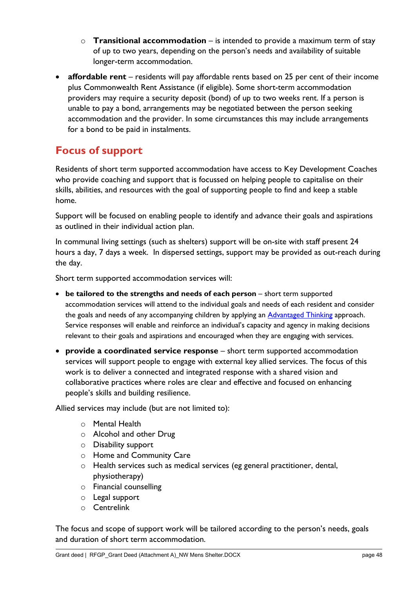- o **Transitional accommodation**  is intended to provide a maximum term of stay of up to two years, depending on the person's needs and availability of suitable longer-term accommodation.
- **affordable rent** residents will pay affordable rents based on 25 per cent of their income plus Commonwealth Rent Assistance (if eligible). Some short-term accommodation providers may require a security deposit (bond) of up to two weeks rent. If a person is unable to pay a bond, arrangements may be negotiated between the person seeking accommodation and the provider. In some circumstances this may include arrangements for a bond to be paid in instalments.

## **Focus of support**

Residents of short term supported accommodation have access to Key Development Coaches who provide coaching and support that is focussed on helping people to capitalise on their skills, abilities, and resources with the goal of supporting people to find and keep a stable home.

Support will be focused on enabling people to identify and advance their goals and aspirations as outlined in their individual action plan.

In communal living settings (such as shelters) support will be on-site with staff present 24 hours a day, 7 days a week. In dispersed settings, support may be provided as out-reach during the day.

Short term supported accommodation services will:

- **be tailored to the strengths and needs of each person** short term supported accommodation services will attend to the individual goals and needs of each resident and consider the goals and needs of any accompanying children by applying an [Advantaged Thinking](https://www.efyfoyers.org.au/background/theoretical-framework/) approach. Service responses will enable and reinforce an individual's capacity and agency in making decisions relevant to their goals and aspirations and encouraged when they are engaging with services.
- **provide a coordinated service response** short term supported accommodation services will support people to engage with external key allied services. The focus of this work is to deliver a connected and integrated response with a shared vision and collaborative practices where roles are clear and effective and focused on enhancing people's skills and building resilience.

Allied services may include (but are not limited to):

- o Mental Health
- o Alcohol and other Drug
- o Disability support
- o Home and Community Care
- o Health services such as medical services (eg general practitioner, dental, physiotherapy)
- o Financial counselling
- o Legal support
- o Centrelink

The focus and scope of support work will be tailored according to the person's needs, goals and duration of short term accommodation.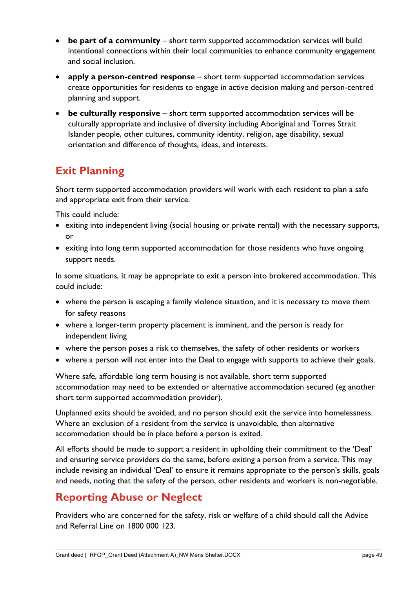- **be part of a community** short term supported accommodation services will build intentional connections within their local communities to enhance community engagement and social inclusion.
- **apply a person-centred response** short term supported accommodation services create opportunities for residents to engage in active decision making and person-centred planning and support.
- **be culturally responsive** short term supported accommodation services will be culturally appropriate and inclusive of diversity including Aboriginal and Torres Strait Islander people, other cultures, community identity, religion, age disability, sexual orientation and difference of thoughts, ideas, and interests.

# **Exit Planning**

Short term supported accommodation providers will work with each resident to plan a safe and appropriate exit from their service.

This could include:

- exiting into independent living (social housing or private rental) with the necessary supports, or
- exiting into long term supported accommodation for those residents who have ongoing support needs.

In some situations, it may be appropriate to exit a person into brokered accommodation. This could include:

- where the person is escaping a family violence situation, and it is necessary to move them for safety reasons
- where a longer-term property placement is imminent, and the person is ready for independent living
- where the person poses a risk to themselves, the safety of other residents or workers
- where a person will not enter into the Deal to engage with supports to achieve their goals.

Where safe, affordable long term housing is not available, short term supported accommodation may need to be extended or alternative accommodation secured (eg another short term supported accommodation provider).

Unplanned exits should be avoided, and no person should exit the service into homelessness. Where an exclusion of a resident from the service is unavoidable, then alternative accommodation should be in place before a person is exited.

All efforts should be made to support a resident in upholding their commitment to the 'Deal' and ensuring service providers do the same, before exiting a person from a service. This may include revising an individual 'Deal' to ensure it remains appropriate to the person's skills, goals and needs, noting that the safety of the person, other residents and workers is non-negotiable.

## **Reporting Abuse or Neglect**

Providers who are concerned for the safety, risk or welfare of a child should call the Advice and Referral Line on 1800 000 123.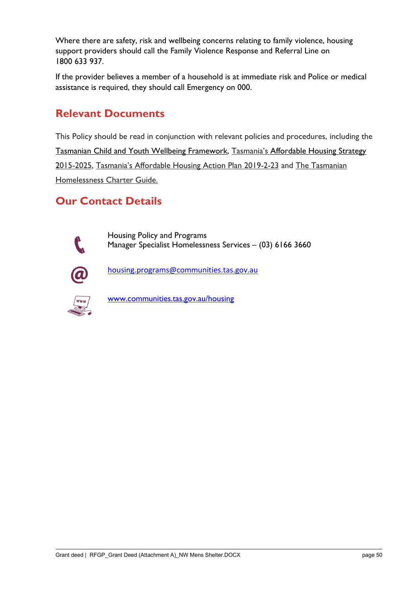Where there are safety, risk and wellbeing concerns relating to family violence, housing support providers should call the Family Violence Response and Referral Line on 1800 633 937.

If the provider believes a member of a household is at immediate risk and Police or medical assistance is required, they should call Emergency on 000.

## **Relevant Documents**

This Policy should be read in conjunction with relevant policies and procedures, including the [Tasmanian Child and Youth Wellbeing Framework,](https://www.strongfamiliessafekids.tas.gov.au/__data/assets/pdf_file/0023/5549/1-Tasmanian-Child-and-Youth-Wellbeing-Framework-Web.pdf) Tasmania's [Affordable Housing Strategy](https://www.communities.tas.gov.au/housing/tasmanian_affordable_housing_strategy) 2015-2025, [Tasmania's Affordable Housing Action Plan 2019-2-23](https://www.communities.tas.gov.au/__data/assets/pdf_file/0027/31698/TAH_Action-Plan-2019-2023.pdf) and [The Tasmanian](https://www.communities.tas.gov.au/__data/assets/pdf_file/0024/42747/Homelessness_Charter_A5_Booklet_v3.pdf)  [Homelessness Charter Guide.](https://www.communities.tas.gov.au/__data/assets/pdf_file/0024/42747/Homelessness_Charter_A5_Booklet_v3.pdf)

## **Our Contact Details**

Housing Policy and Programs Manager Specialist Homelessness Services – (03) 6166 3660



[housing.programs@communities.tas.gov.au](mailto:housing.programs@communities.tas.gov.au)



[www.communities.tas.gov.au/housing](http://www.communities.tas.gov.au/housing)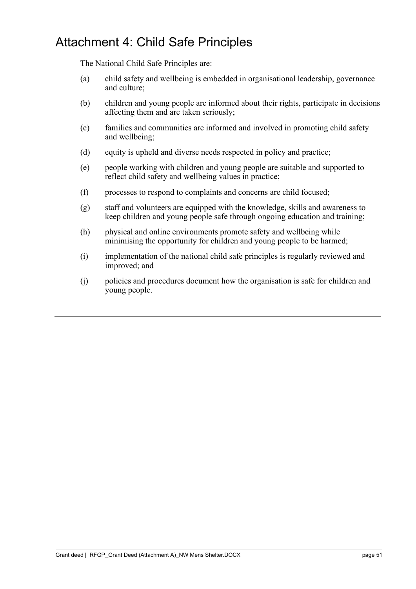<span id="page-55-0"></span>The National Child Safe Principles are:

- (a) child safety and wellbeing is embedded in organisational leadership, governance and culture;
- (b) children and young people are informed about their rights, participate in decisions affecting them and are taken seriously;
- (c) families and communities are informed and involved in promoting child safety and wellbeing;
- (d) equity is upheld and diverse needs respected in policy and practice;
- (e) people working with children and young people are suitable and supported to reflect child safety and wellbeing values in practice;
- (f) processes to respond to complaints and concerns are child focused;
- (g) staff and volunteers are equipped with the knowledge, skills and awareness to keep children and young people safe through ongoing education and training;
- (h) physical and online environments promote safety and wellbeing while minimising the opportunity for children and young people to be harmed;
- (i) implementation of the national child safe principles is regularly reviewed and improved; and
- (j) policies and procedures document how the organisation is safe for children and young people.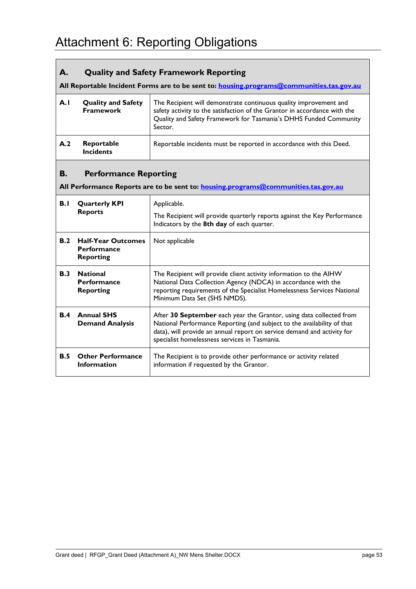#### <span id="page-57-0"></span>**A. Quality and Safety Framework Reporting**

**All Reportable Incident Forms are to be sent to: [housing.programs@communities.tas.gov.au](mailto:housing.programs@communities.tas.gov.au)**

| A.I | <b>Quality and Safety</b><br><b>Framework</b> | The Recipient will demonstrate continuous quality improvement and<br>safety activity to the satisfaction of the Grantor in accordance with the<br>Quality and Safety Framework for Tasmania's DHHS Funded Community<br>Sector. |
|-----|-----------------------------------------------|--------------------------------------------------------------------------------------------------------------------------------------------------------------------------------------------------------------------------------|
| A.2 | Reportable<br><b>Incidents</b>                | Reportable incidents must be reported in accordance with this Deed.                                                                                                                                                            |

#### **B. Performance Reporting**

**All Performance Reports are to be sent to: [housing.programs@communities.tas.gov.au](mailto:housing.programs@communities.tas.gov.au)**

| B.I        | <b>Quarterly KPI</b><br><b>Reports</b>                              | Applicable.<br>The Recipient will provide quarterly reports against the Key Performance<br>Indicators by the 8th day of each quarter.                                                                                                                                      |
|------------|---------------------------------------------------------------------|----------------------------------------------------------------------------------------------------------------------------------------------------------------------------------------------------------------------------------------------------------------------------|
| B.2        | <b>Half-Year Outcomes</b><br><b>Performance</b><br><b>Reporting</b> | Not applicable                                                                                                                                                                                                                                                             |
| <b>B.3</b> | <b>National</b><br><b>Performance</b><br><b>Reporting</b>           | The Recipient will provide client activity information to the AIHW<br>National Data Collection Agency (NDCA) in accordance with the<br>reporting requirements of the Specialist Homelessness Services National<br>Minimum Data Set (SHS NMDS).                             |
| <b>B.4</b> | <b>Annual SHS</b><br><b>Demand Analysis</b>                         | After 30 September each year the Grantor, using data collected from<br>National Performance Reporting (and subject to the availability of that<br>data), will provide an annual report on service demand and activity for<br>specialist homelessness services in Tasmania. |
| <b>B.5</b> | <b>Other Performance</b><br><b>Information</b>                      | The Recipient is to provide other performance or activity related<br>information if requested by the Grantor.                                                                                                                                                              |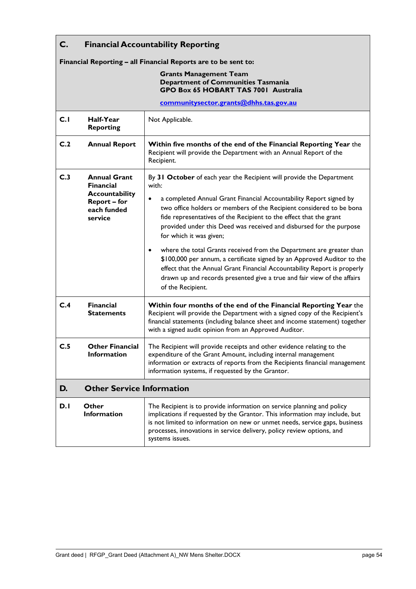| C.  | <b>Financial Accountability Reporting</b>                       |                                                                                                                                                                                                                                                                                                                                          |  |  |
|-----|-----------------------------------------------------------------|------------------------------------------------------------------------------------------------------------------------------------------------------------------------------------------------------------------------------------------------------------------------------------------------------------------------------------------|--|--|
|     | Financial Reporting - all Financial Reports are to be sent to:  |                                                                                                                                                                                                                                                                                                                                          |  |  |
|     |                                                                 | <b>Grants Management Team</b><br>Department of Communities Tasmania<br>GPO Box 65 HOBART TAS 7001 Australia<br>communitysector.grants@dhhs.tas.gov.au                                                                                                                                                                                    |  |  |
|     |                                                                 |                                                                                                                                                                                                                                                                                                                                          |  |  |
| C.1 | Half-Year<br><b>Reporting</b>                                   | Not Applicable.                                                                                                                                                                                                                                                                                                                          |  |  |
| C.2 | <b>Annual Report</b>                                            | Within five months of the end of the Financial Reporting Year the<br>Recipient will provide the Department with an Annual Report of the<br>Recipient.                                                                                                                                                                                    |  |  |
| C.3 | <b>Annual Grant</b><br><b>Financial</b>                         | By 31 October of each year the Recipient will provide the Department<br>with:                                                                                                                                                                                                                                                            |  |  |
|     | Accountability<br><b>Report - for</b><br>each funded<br>service | a completed Annual Grant Financial Accountability Report signed by<br>$\bullet$<br>two office holders or members of the Recipient considered to be bona<br>fide representatives of the Recipient to the effect that the grant<br>provided under this Deed was received and disbursed for the purpose<br>for which it was given;          |  |  |
|     |                                                                 | where the total Grants received from the Department are greater than<br>$\bullet$<br>\$100,000 per annum, a certificate signed by an Approved Auditor to the<br>effect that the Annual Grant Financial Accountability Report is properly<br>drawn up and records presented give a true and fair view of the affairs<br>of the Recipient. |  |  |
| C.4 | <b>Financial</b><br><b>Statements</b>                           | Within four months of the end of the Financial Reporting Year the<br>Recipient will provide the Department with a signed copy of the Recipient's<br>financial statements (including balance sheet and income statement) together<br>with a signed audit opinion from an Approved Auditor.                                                |  |  |
| C.5 | <b>Other Financial</b><br><b>Information</b>                    | The Recipient will provide receipts and other evidence relating to the<br>expenditure of the Grant Amount, including internal management<br>information or extracts of reports from the Recipients financial management<br>information systems, if requested by the Grantor.                                                             |  |  |
| D.  | <b>Other Service Information</b>                                |                                                                                                                                                                                                                                                                                                                                          |  |  |
| D.I | Other<br><b>Information</b>                                     | The Recipient is to provide information on service planning and policy<br>implications if requested by the Grantor. This information may include, but<br>is not limited to information on new or unmet needs, service gaps, business<br>processes, innovations in service delivery, policy review options, and<br>systems issues.        |  |  |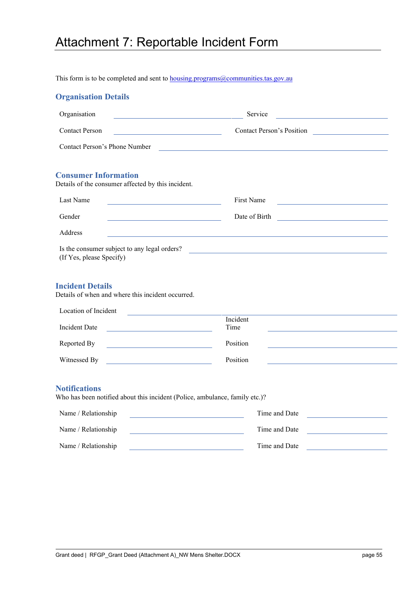# <span id="page-59-0"></span>Attachment 7: Reportable Incident Form

This form is to be completed and sent to **housing.programs@communities.tas.gov.au** 

| <b>Organisation Details</b> |  |  |  |  |  |
|-----------------------------|--|--|--|--|--|
|-----------------------------|--|--|--|--|--|

| Organisation<br><u> 1989 - Johann Barn, mars eta bainar eta idazlea (</u>                                                                            | Service                                                                                                                             |
|------------------------------------------------------------------------------------------------------------------------------------------------------|-------------------------------------------------------------------------------------------------------------------------------------|
| <b>Contact Person</b>                                                                                                                                | Contact Person's Position                                                                                                           |
| Contact Person's Phone Number                                                                                                                        | <u> 1999 - Johann Stoff, amerikansk politiker (d. 1989)</u>                                                                         |
| <b>Consumer Information</b><br>Details of the consumer affected by this incident.                                                                    |                                                                                                                                     |
| Last Name<br><u> 1980 - Johann Barn, mars ann an t-Amhain an t-Amhain an t-Amhain an t-Amhain an t-Amhain an t-Amhain an t-A</u>                     | First Name<br><u> 1980 - Johann Barn, mars ann an t-Amhain an t-Amhain an t-Amhain an t-Amhain an t-Amhain an t-Amhain an t-Amh</u> |
| Gender<br><u> 1980 - Johann Barn, mars ann an t-Amhain Aonaich an t-Aonaich an t-Aonaich an t-Aonaich an t-Aonaich an t-Aon</u>                      | Date of Birth                                                                                                                       |
| Address                                                                                                                                              |                                                                                                                                     |
| <b>Incident Details</b><br>Details of when and where this incident occurred.<br>Location of Incident<br>the control of the control of the control of |                                                                                                                                     |
|                                                                                                                                                      | Incident                                                                                                                            |
| Incident Date                                                                                                                                        | Time                                                                                                                                |
| Reported By                                                                                                                                          | Position                                                                                                                            |
| Witnessed By                                                                                                                                         | Position                                                                                                                            |
| <b>Notifications</b><br>Who has been notified about this incident (Police, ambulance, family etc.)?                                                  |                                                                                                                                     |
| Name / Relationship                                                                                                                                  | Time and Date                                                                                                                       |
| Name / Relationship                                                                                                                                  | Time and Date                                                                                                                       |

Name / Relationship Time and Date